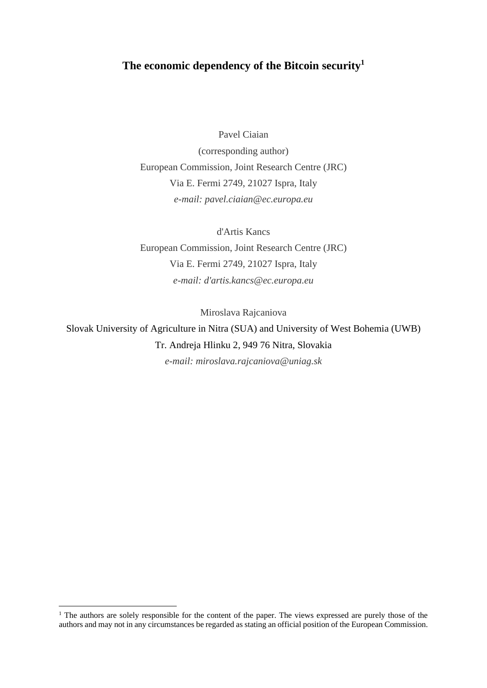# **The economic dependency of the Bitcoin security<sup>1</sup>**

Pavel Ciaian

(corresponding author) European Commission, Joint Research Centre (JRC) Via E. Fermi 2749, 21027 Ispra, Italy *e-mail: pavel.ciaian@ec.europa.eu*

d'Artis Kancs European Commission, Joint Research Centre (JRC) Via E. Fermi 2749, 21027 Ispra, Italy *e-mail: d'artis.kancs@ec.europa.eu*

Miroslava Rajcaniova

Slovak University of Agriculture in Nitra (SUA) and University of West Bohemia (UWB) Tr. Andreja Hlinku 2, 949 76 Nitra, Slovakia *e-mail: miroslava.rajcaniova@uniag.sk*

<sup>&</sup>lt;sup>1</sup> The authors are solely responsible for the content of the paper. The views expressed are purely those of the authors and may not in any circumstances be regarded as stating an official position of the European Commission.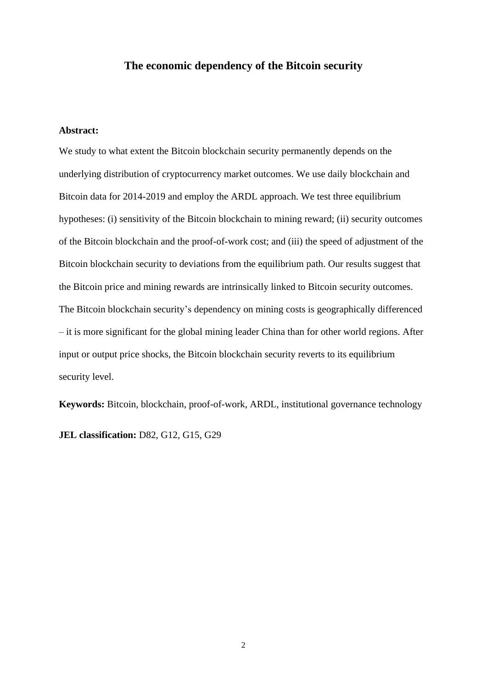# **The economic dependency of the Bitcoin security**

# **Abstract:**

We study to what extent the Bitcoin blockchain security permanently depends on the underlying distribution of cryptocurrency market outcomes. We use daily blockchain and Bitcoin data for 2014-2019 and employ the ARDL approach. We test three equilibrium hypotheses: (i) sensitivity of the Bitcoin blockchain to mining reward; (ii) security outcomes of the Bitcoin blockchain and the proof-of-work cost; and (iii) the speed of adjustment of the Bitcoin blockchain security to deviations from the equilibrium path. Our results suggest that the Bitcoin price and mining rewards are intrinsically linked to Bitcoin security outcomes. The Bitcoin blockchain security's dependency on mining costs is geographically differenced – it is more significant for the global mining leader China than for other world regions. After input or output price shocks, the Bitcoin blockchain security reverts to its equilibrium security level.

**Keywords:** Bitcoin, blockchain, proof-of-work, ARDL, institutional governance technology **JEL classification:** D82, G12, G15, G29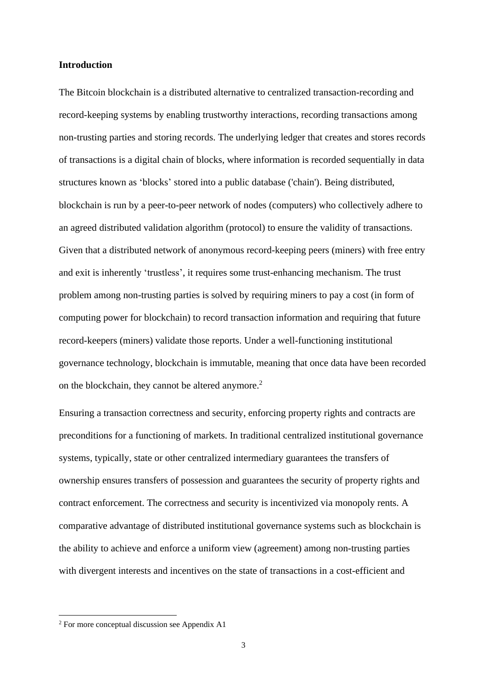### **Introduction**

The Bitcoin blockchain is a distributed alternative to centralized transaction-recording and record-keeping systems by enabling trustworthy interactions, recording transactions among non-trusting parties and storing records. The underlying ledger that creates and stores records of transactions is a digital chain of blocks, where information is recorded sequentially in data structures known as 'blocks' stored into a public database ('chain'). Being distributed, blockchain is run by a [peer-to-peer](https://en.wikipedia.org/wiki/Peer-to-peer) network of nodes (computers) who collectively adhere to an agreed distributed validation algorithm [\(protocol\)](https://en.wikipedia.org/wiki/Protocol_(communication)) to ensure the validity of transactions. Given that a distributed network of anonymous record-keeping peers (miners) with free entry and exit is inherently 'trustless', it requires some trust-enhancing mechanism. The trust problem among non-trusting parties is solved by requiring miners to pay a cost (in form of computing power for blockchain) to record transaction information and requiring that future record-keepers (miners) validate those reports. Under a well-functioning institutional governance technology, blockchain is immutable, meaning that once data have been recorded on the blockchain, they cannot be altered anymore. 2

Ensuring a transaction correctness and security, enforcing property rights and contracts are preconditions for a functioning of markets. In traditional centralized institutional governance systems, typically, state or other centralized intermediary guarantees the transfers of ownership ensures transfers of possession and guarantees the security of property rights and contract enforcement. The correctness and security is incentivized via monopoly rents. A comparative advantage of distributed institutional governance systems such as blockchain is the ability to achieve and enforce a uniform view (agreement) among non-trusting parties with divergent interests and incentives on the state of transactions in a cost-efficient and

<sup>2</sup> For more conceptual discussion see Appendix A1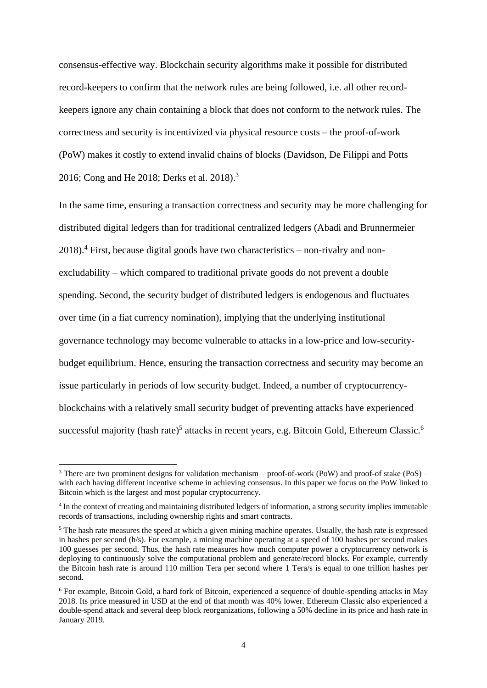consensus-effective way. Blockchain security algorithms make it possible for distributed record-keepers to confirm that the network rules are being followed, i.e. all other recordkeepers ignore any chain containing a block that does not conform to the network rules. The correctness and security is incentivized via physical resource costs – the proof-of-work (PoW) makes it costly to extend invalid chains of blocks (Davidson, De Filippi and Potts 2016; Cong and He 2018; Derks et al. 2018). 3

In the same time, ensuring a transaction correctness and security may be more challenging for distributed digital ledgers than for traditional centralized ledgers (Abadi and Brunnermeier 2018). <sup>4</sup> First, because digital goods have two characteristics – non-rivalry and nonexcludability – which compared to traditional private goods do not prevent a double spending. Second, the security budget of distributed ledgers is endogenous and fluctuates over time (in a fiat currency nomination), implying that the underlying institutional governance technology may become vulnerable to attacks in a low-price and low-securitybudget equilibrium. Hence, ensuring the transaction correctness and security may become an issue particularly in periods of low security budget. Indeed, a number of cryptocurrencyblockchains with a relatively small security budget of preventing attacks have experienced successful majority (hash rate)<sup>5</sup> attacks in recent years, e.g. Bitcoin Gold, Ethereum Classic.<sup>6</sup>

<sup>&</sup>lt;sup>3</sup> There are two prominent designs for validation mechanism – proof-of-work (PoW) and proof-of stake (PoS) – with each having different incentive scheme in achieving consensus. In this paper we focus on the PoW linked to Bitcoin which is the largest and most popular cryptocurrency.

<sup>&</sup>lt;sup>4</sup> In the context of creating and maintaining distributed ledgers of information, a strong security implies immutable records of transactions, including ownership rights and smart contracts.

<sup>&</sup>lt;sup>5</sup> The hash rate measures the speed at which a given mining machine operates. Usually, the hash rate is expressed in hashes per second (h/s). For example, a mining machine operating at a speed of 100 hashes per second makes 100 guesses per second. Thus, the hash rate measures how much computer power a cryptocurrency network is deploying to continuously solve the computational problem and generate/record blocks. For example, currently the Bitcoin hash rate is around 110 million Tera per second where 1 Tera/s is equal to one trillion hashes per second.

<sup>6</sup> For example, Bitcoin Gold, a hard fork of Bitcoin, experienced a sequence of double-spending attacks in May 2018. Its price measured in USD at the end of that month was 40% lower. Ethereum Classic also experienced a double-spend attack and several deep block reorganizations, following a 50% decline in its price and hash rate in January 2019.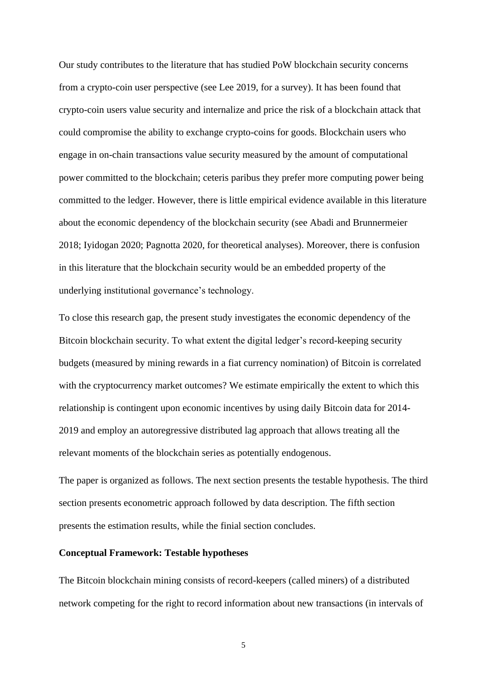Our study contributes to the literature that has studied PoW blockchain security concerns from a crypto-coin user perspective (see Lee 2019, for a survey). It has been found that crypto-coin users value security and internalize and price the risk of a blockchain attack that could compromise the ability to exchange crypto-coins for goods. Blockchain users who engage in on-chain transactions value security measured by the amount of computational power committed to the blockchain; ceteris paribus they prefer more computing power being committed to the ledger. However, there is little empirical evidence available in this literature about the economic dependency of the blockchain security (see Abadi and Brunnermeier 2018; Iyidogan 2020; Pagnotta 2020, for theoretical analyses). Moreover, there is confusion in this literature that the blockchain security would be an embedded property of the underlying institutional governance's technology.

To close this research gap, the present study investigates the economic dependency of the Bitcoin blockchain security. To what extent the digital ledger's record-keeping security budgets (measured by mining rewards in a fiat currency nomination) of Bitcoin is correlated with the cryptocurrency market outcomes? We estimate empirically the extent to which this relationship is contingent upon economic incentives by using daily Bitcoin data for 2014- 2019 and employ an autoregressive distributed lag approach that allows treating all the relevant moments of the blockchain series as potentially endogenous.

The paper is organized as follows. The next section presents the testable hypothesis. The third section presents econometric approach followed by data description. The fifth section presents the estimation results, while the finial section concludes.

# **Conceptual Framework: Testable hypotheses**

The Bitcoin blockchain mining consists of record-keepers (called miners) of a distributed network competing for the right to record information about new transactions (in intervals of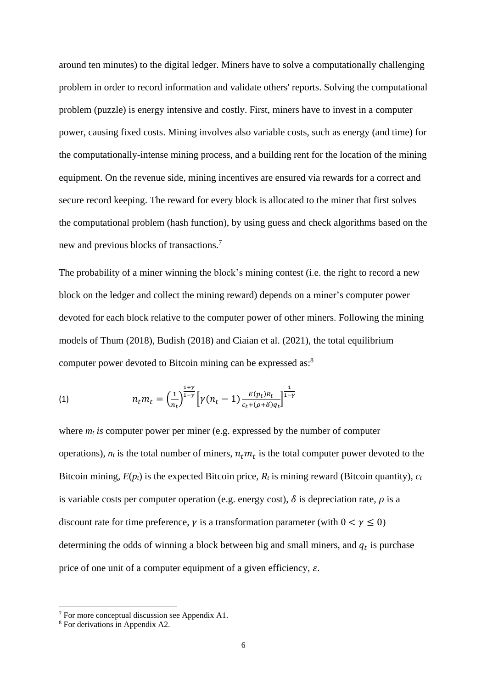around ten minutes) to the digital ledger. Miners have to solve a computationally challenging problem in order to record information and validate others' reports. Solving the computational problem (puzzle) is energy intensive and costly. First, miners have to invest in a computer power, causing fixed costs. Mining involves also variable costs, such as energy (and time) for the computationally-intense mining process, and a building rent for the location of the mining equipment. On the revenue side, mining incentives are ensured via rewards for a correct and secure record keeping. The reward for every block is allocated to the miner that first solves the computational problem (hash function), by using guess and check algorithms based on the new and previous blocks of transactions.<sup>7</sup>

The probability of a miner winning the block's mining contest (i.e. the right to record a new block on the ledger and collect the mining reward) depends on a miner's computer power devoted for each block relative to the computer power of other miners. Following the mining models of Thum (2018), Budish (2018) and Ciaian et al. (2021), the total equilibrium computer power devoted to Bitcoin mining can be expressed as:<sup>8</sup>

<span id="page-5-0"></span>(1) 
$$
n_t m_t = \left(\frac{1}{n_t}\right)^{\frac{1+\gamma}{1-\gamma}} \left[\gamma(n_t-1) \frac{E(p_t)R_t}{c_t + (\rho + \delta)q_t}\right]^{\frac{1}{1-\gamma}}
$$

where  $m_t$  *is* computer power per miner (e.g. expressed by the number of computer operations),  $n_t$  is the total number of miners,  $n_t m_t$  is the total computer power devoted to the Bitcoin mining,  $E(p_t)$  is the expected Bitcoin price,  $R_t$  is mining reward (Bitcoin quantity),  $c_t$ is variable costs per computer operation (e.g. energy cost),  $\delta$  is depreciation rate,  $\rho$  is a discount rate for time preference,  $\gamma$  is a transformation parameter (with  $0 < \gamma \le 0$ ) determining the odds of winning a block between big and small miners, and  $q_t$  is purchase price of one unit of a computer equipment of a given efficiency,  $\varepsilon$ .

<sup>7</sup> For more conceptual discussion see Appendix A1.

<sup>8</sup> For derivations in Appendix A2.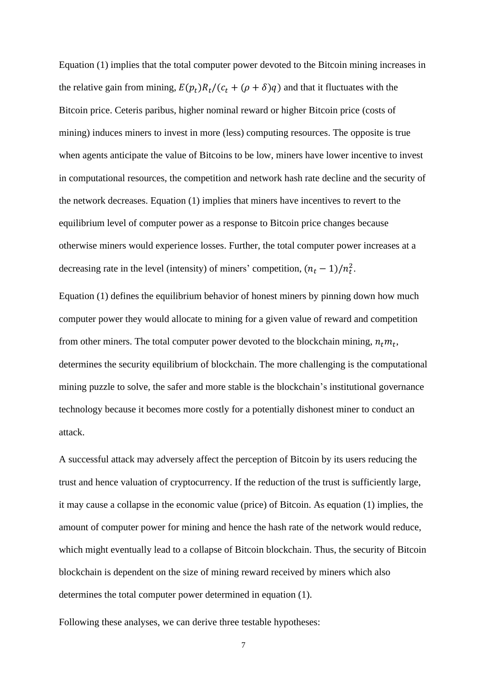Equation [\(1\)](#page-5-0) implies that the total computer power devoted to the Bitcoin mining increases in the relative gain from mining,  $E(p_t)R_t/(c_t + (\rho + \delta)q)$  and that it fluctuates with the Bitcoin price. Ceteris paribus, higher nominal reward or higher Bitcoin price (costs of mining) induces miners to invest in more (less) computing resources. The opposite is true when agents anticipate the value of Bitcoins to be low, miners have lower incentive to invest in computational resources, the competition and network hash rate decline and the security of the network decreases. Equation [\(1\)](#page-5-0) implies that miners have incentives to revert to the equilibrium level of computer power as a response to Bitcoin price changes because otherwise miners would experience losses. Further, the total computer power increases at a decreasing rate in the level (intensity) of miners' competition,  $(n_t - 1)/n_t^2$ .

Equation [\(1\)](#page-5-0) defines the equilibrium behavior of honest miners by pinning down how much computer power they would allocate to mining for a given value of reward and competition from other miners. The total computer power devoted to the blockchain mining,  $n_t m_t$ , determines the security equilibrium of blockchain. The more challenging is the computational mining puzzle to solve, the safer and more stable is the blockchain's institutional governance technology because it becomes more costly for a potentially dishonest miner to conduct an attack.

A successful attack may adversely affect the perception of Bitcoin by its users reducing the trust and hence valuation of cryptocurrency. If the reduction of the trust is sufficiently large, it may cause a collapse in the economic value (price) of Bitcoin. As equation [\(1\)](#page-5-0) implies, the amount of computer power for mining and hence the hash rate of the network would reduce, which might eventually lead to a collapse of Bitcoin blockchain. Thus, the security of Bitcoin blockchain is dependent on the size of mining reward received by miners which also determines the total computer power determined in equation [\(1\).](#page-5-0)

Following these analyses, we can derive three testable hypotheses: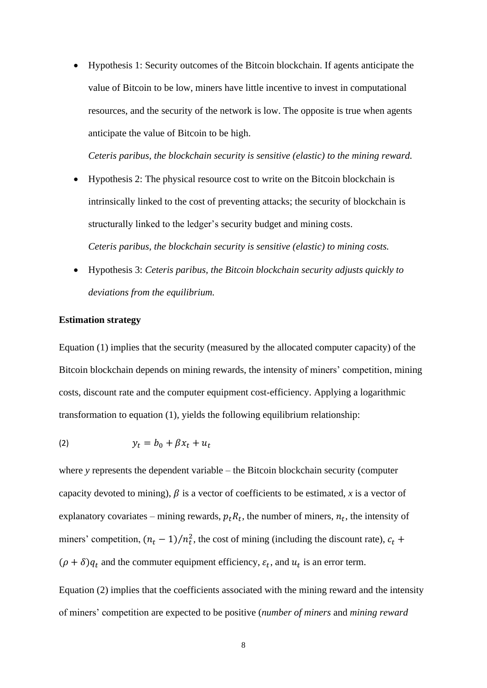• Hypothesis 1: Security outcomes of the Bitcoin blockchain. If agents anticipate the value of Bitcoin to be low, miners have little incentive to invest in computational resources, and the security of the network is low. The opposite is true when agents anticipate the value of Bitcoin to be high.

*Ceteris paribus, the blockchain security is sensitive (elastic) to the mining reward.*

- Hypothesis 2: The physical resource cost to write on the Bitcoin blockchain is intrinsically linked to the cost of preventing attacks; the security of blockchain is structurally linked to the ledger's security budget and mining costs. *Ceteris paribus, the blockchain security is sensitive (elastic) to mining costs.*
- Hypothesis 3: *Ceteris paribus, the Bitcoin blockchain security adjusts quickly to deviations from the equilibrium.*

#### **Estimation strategy**

Equation [\(1\)](#page-5-0) implies that the security (measured by the allocated computer capacity) of the Bitcoin blockchain depends on mining rewards, the intensity of miners' competition, mining costs, discount rate and the computer equipment cost-efficiency. Applying a logarithmic transformation to equation [\(1\),](#page-5-0) yields the following equilibrium relationship:

<span id="page-7-0"></span>
$$
(2) \t y_t = b_0 + \beta x_t + u_t
$$

where *y* represents the dependent variable – the Bitcoin blockchain security (computer capacity devoted to mining),  $\beta$  is a vector of coefficients to be estimated, *x* is a vector of explanatory covariates – mining rewards,  $p_t R_t$ , the number of miners,  $n_t$ , the intensity of miners' competition,  $(n_t - 1)/n_t^2$ , the cost of mining (including the discount rate),  $c_t$  +  $(\rho + \delta)q_t$  and the commuter equipment efficiency,  $\varepsilon_t$ , and  $u_t$  is an error term.

Equation [\(2\)](#page-7-0) implies that the coefficients associated with the mining reward and the intensity of miners' competition are expected to be positive (*number of miners* and *mining reward*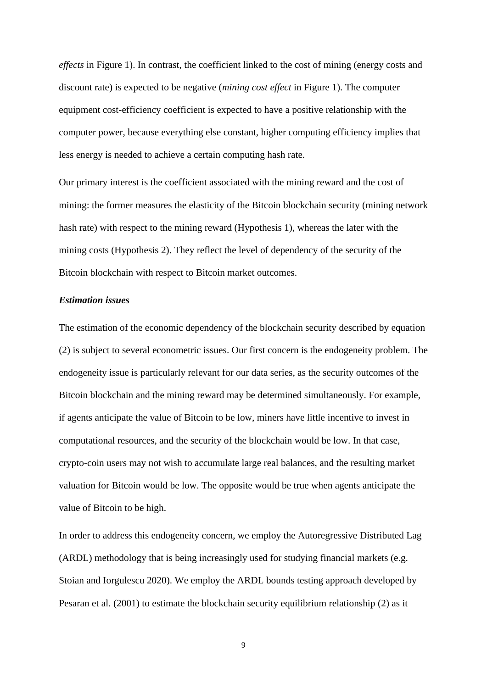*effects* in Figure 1). In contrast, the coefficient linked to the cost of mining (energy costs and discount rate) is expected to be negative (*mining cost effect* in Figure 1). The computer equipment cost-efficiency coefficient is expected to have a positive relationship with the computer power, because everything else constant, higher computing efficiency implies that less energy is needed to achieve a certain computing hash rate.

Our primary interest is the coefficient associated with the mining reward and the cost of mining: the former measures the elasticity of the Bitcoin blockchain security (mining network hash rate) with respect to the mining reward (Hypothesis 1), whereas the later with the mining costs (Hypothesis 2). They reflect the level of dependency of the security of the Bitcoin blockchain with respect to Bitcoin market outcomes.

# *Estimation issues*

The estimation of the economic dependency of the blockchain security described by equation [\(2\)](#page-7-0) is subject to several econometric issues. Our first concern is the endogeneity problem. The endogeneity issue is particularly relevant for our data series, as the security outcomes of the Bitcoin blockchain and the mining reward may be determined simultaneously. For example, if agents anticipate the value of Bitcoin to be low, miners have little incentive to invest in computational resources, and the security of the blockchain would be low. In that case, crypto-coin users may not wish to accumulate large real balances, and the resulting market valuation for Bitcoin would be low. The opposite would be true when agents anticipate the value of Bitcoin to be high.

In order to address this endogeneity concern, we employ the Autoregressive Distributed Lag (ARDL) methodology that is being increasingly used for studying financial markets (e.g. Stoian and Iorgulescu 2020). We employ the ARDL bounds testing approach developed by Pesaran et al. (2001) to estimate the blockchain security equilibrium relationship [\(2\)](#page-7-0) as it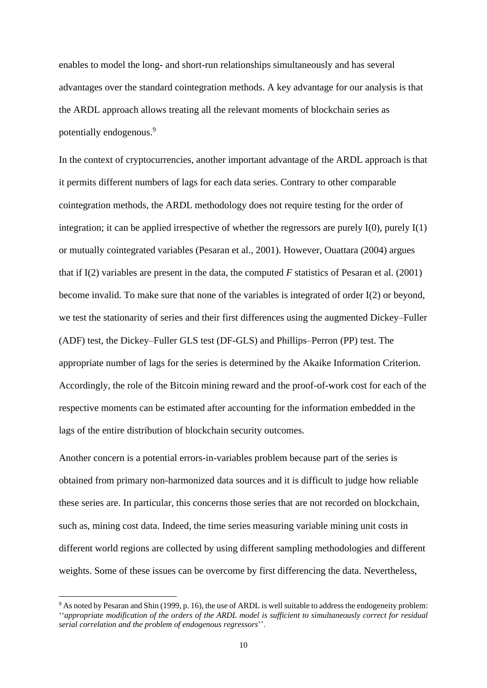enables to model the long- and short-run relationships simultaneously and has several advantages over the standard cointegration methods. A key advantage for our analysis is that the ARDL approach allows treating all the relevant moments of blockchain series as potentially endogenous.<sup>9</sup>

In the context of cryptocurrencies, another important advantage of the ARDL approach is that it permits different numbers of lags for each data series. Contrary to other comparable cointegration methods, the ARDL methodology does not require testing for the order of integration; it can be applied irrespective of whether the regressors are purely  $I(0)$ , purely  $I(1)$ or mutually cointegrated variables (Pesaran et al., 2001). However, Ouattara (2004) argues that if I(2) variables are present in the data, the computed *F* statistics of Pesaran et al. (2001) become invalid. To make sure that none of the variables is integrated of order I(2) or beyond, we test the stationarity of series and their first differences using the augmented Dickey–Fuller (ADF) test, the Dickey–Fuller GLS test (DF-GLS) and Phillips–Perron (PP) test. The appropriate number of lags for the series is determined by the Akaike Information Criterion. Accordingly, the role of the Bitcoin mining reward and the proof-of-work cost for each of the respective moments can be estimated after accounting for the information embedded in the lags of the entire distribution of blockchain security outcomes.

Another concern is a potential errors-in-variables problem because part of the series is obtained from primary non-harmonized data sources and it is difficult to judge how reliable these series are. In particular, this concerns those series that are not recorded on blockchain, such as, mining cost data. Indeed, the time series measuring variable mining unit costs in different world regions are collected by using different sampling methodologies and different weights. Some of these issues can be overcome by first differencing the data. Nevertheless,

<sup>9</sup> As noted by Pesaran and Shin (1999, p. 16), the use of ARDL is well suitable to address the endogeneity problem: ''*appropriate modification of the orders of the ARDL model is sufficient to simultaneously correct for residual serial correlation and the problem of endogenous regressors*''.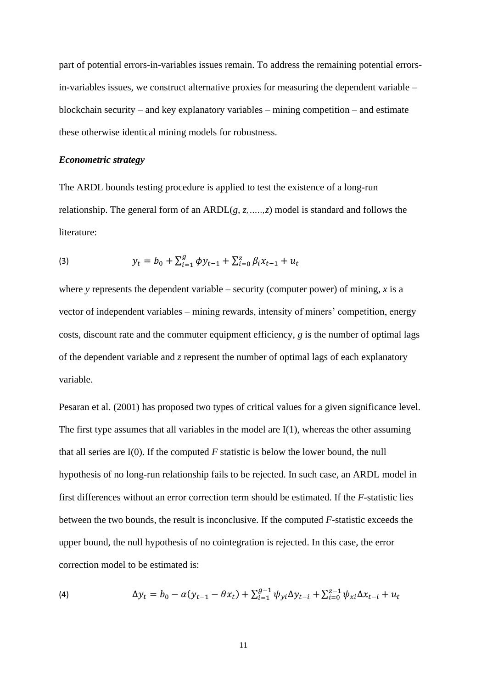part of potential errors-in-variables issues remain. To address the remaining potential errorsin-variables issues, we construct alternative proxies for measuring the dependent variable – blockchain security – and key explanatory variables – mining competition – and estimate these otherwise identical mining models for robustness.

# *Econometric strategy*

The ARDL bounds testing procedure is applied to test the existence of a long-run relationship. The general form of an ARDL(*g, z,…..,z*) model is standard and follows the literature:

(3) 
$$
y_t = b_0 + \sum_{i=1}^g \phi y_{t-1} + \sum_{i=0}^g \beta_i x_{t-1} + u_t
$$

where *y* represents the dependent variable – security (computer power) of mining, *x* is a vector of independent variables – mining rewards, intensity of miners' competition, energy costs, discount rate and the commuter equipment efficiency, *g* is the number of optimal lags of the dependent variable and *z* represent the number of optimal lags of each explanatory variable.

Pesaran et al. (2001) has proposed two types of critical values for a given significance level. The first type assumes that all variables in the model are I(1), whereas the other assuming that all series are  $I(0)$ . If the computed *F* statistic is below the lower bound, the null hypothesis of no long-run relationship fails to be rejected. In such case, an ARDL model in first differences without an error correction term should be estimated. If the *F*-statistic lies between the two bounds, the result is inconclusive. If the computed *F*-statistic exceeds the upper bound, the null hypothesis of no cointegration is rejected. In this case, the error correction model to be estimated is:

(4) 
$$
\Delta y_t = b_0 - \alpha (y_{t-1} - \theta x_t) + \sum_{i=1}^{g-1} \psi_{yi} \Delta y_{t-i} + \sum_{i=0}^{g-1} \psi_{xi} \Delta x_{t-i} + u_t
$$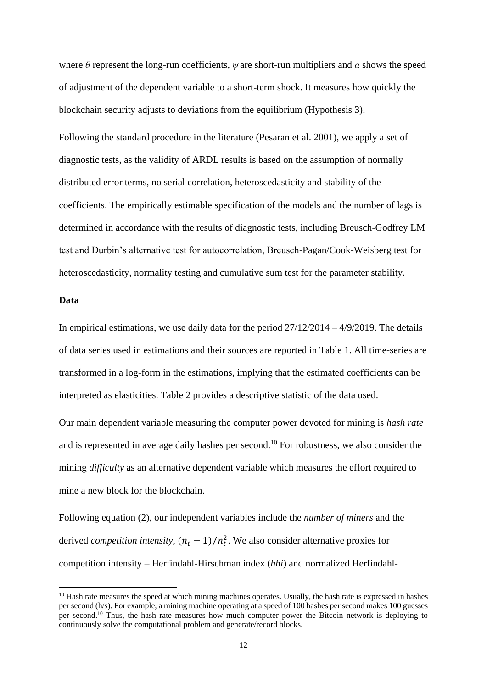where  $\theta$  represent the long-run coefficients,  $\psi$  are short-run multipliers and  $\alpha$  shows the speed of adjustment of the dependent variable to a short-term shock. It measures how quickly the blockchain security adjusts to deviations from the equilibrium (Hypothesis 3).

Following the standard procedure in the literature (Pesaran et al. 2001), we apply a set of diagnostic tests, as the validity of ARDL results is based on the assumption of normally distributed error terms, no serial correlation, heteroscedasticity and stability of the coefficients. The empirically estimable specification of the models and the number of lags is determined in accordance with the results of diagnostic tests, including Breusch-Godfrey LM test and Durbin's alternative test for autocorrelation, Breusch-Pagan/Cook-Weisberg test for heteroscedasticity, normality testing and cumulative sum test for the parameter stability.

# **Data**

In empirical estimations, we use daily data for the period  $27/12/2014 - 4/9/2019$ . The details of data series used in estimations and their sources are reported in [Table 1.](#page-26-0) All time-series are transformed in a log-form in the estimations, implying that the estimated coefficients can be interpreted as elasticities. [Table 2](#page-26-1) provides a descriptive statistic of the data used.

Our main dependent variable measuring the computer power devoted for mining is *hash rate* and is represented in average daily hashes per second.<sup>10</sup> For robustness, we also consider the mining *difficulty* as an alternative dependent variable which measures the effort required to mine a new block for the blockchain.

Following equation [\(2\),](#page-7-0) our independent variables include the *number of miners* and the derived *competition intensity*,  $(n_t - 1)/n_t^2$ . We also consider alternative proxies for competition intensity – Herfindahl-Hirschman index (*hhi*) and normalized Herfindahl-

<sup>&</sup>lt;sup>10</sup> Hash rate measures the speed at which mining machines operates. Usually, the hash rate is expressed in hashes per second (h/s). For example, a mining machine operating at a speed of 100 hashes per second makes 100 guesses per second.<sup>10</sup> Thus, the hash rate measures how much computer power the Bitcoin network is deploying to continuously solve the computational problem and generate/record blocks.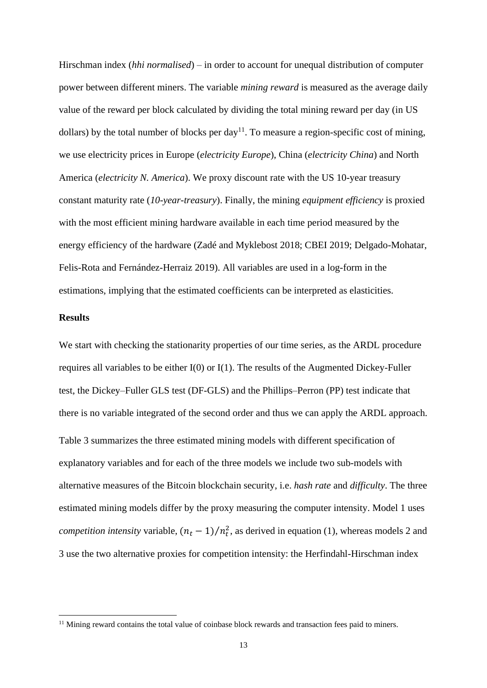Hirschman index (*hhi normalised*) – in order to account for unequal distribution of computer power between different miners. The variable *mining reward* is measured as the average daily value of the reward per block calculated by dividing the total mining reward per day (in US dollars) by the total number of blocks per day<sup>11</sup>. To measure a region-specific cost of mining, we use electricity prices in Europe (*electricity Europe*), China (*electricity China*) and North America (*electricity N. America*). We proxy discount rate with the US 10-year treasury constant maturity rate (*10-year-treasury*). Finally, the mining *equipment efficiency* is proxied with the most efficient mining hardware available in each time period measured by the energy efficiency of the hardware (Zadé and Myklebost 2018; CBEI 2019; Delgado-Mohatar, Felis-Rota and Fernández-Herraiz 2019). All variables are used in a log-form in the estimations, implying that the estimated coefficients can be interpreted as elasticities.

# **Results**

We start with checking the stationarity properties of our time series, as the ARDL procedure requires all variables to be either I(0) or I(1). The results of the Augmented Dickey-Fuller test, the Dickey–Fuller GLS test (DF-GLS) and the Phillips–Perron (PP) test indicate that there is no variable integrated of the second order and thus we can apply the ARDL approach. [Table 3](#page-27-0) summarizes the three estimated mining models with different specification of explanatory variables and for each of the three models we include two sub-models with alternative measures of the Bitcoin blockchain security, i.e. *hash rate* and *difficulty*. The three estimated mining models differ by the proxy measuring the computer intensity. Model 1 uses *competition intensity* variable,  $(n_t - 1)/n_t^2$ , as derived in equation [\(1\),](#page-5-0) whereas models 2 and 3 use the two alternative proxies for competition intensity: the Herfindahl-Hirschman index

<sup>&</sup>lt;sup>11</sup> Mining reward contains the total value of coinbase block rewards and transaction fees paid to miners.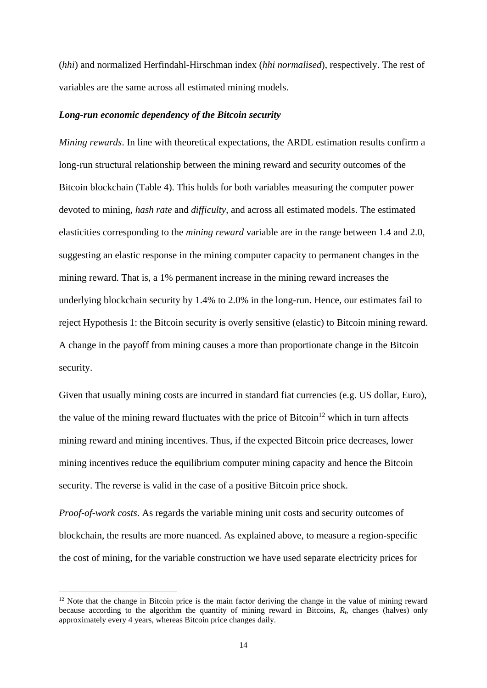(*hhi*) and normalized Herfindahl-Hirschman index (*hhi normalised*), respectively. The rest of variables are the same across all estimated mining models.

#### *Long-run economic dependency of the Bitcoin security*

*Mining rewards*. In line with theoretical expectations, the ARDL estimation results confirm a long-run structural relationship between the mining reward and security outcomes of the Bitcoin blockchain [\(Table 4\)](#page-27-1). This holds for both variables measuring the computer power devoted to mining, *hash rate* and *difficulty*, and across all estimated models. The estimated elasticities corresponding to the *mining reward* variable are in the range between 1.4 and 2.0, suggesting an elastic response in the mining computer capacity to permanent changes in the mining reward. That is, a 1% permanent increase in the mining reward increases the underlying blockchain security by 1.4% to 2.0% in the long-run. Hence, our estimates fail to reject Hypothesis 1: the Bitcoin security is overly sensitive (elastic) to Bitcoin mining reward. A change in the payoff from mining causes a more than proportionate change in the Bitcoin security.

Given that usually mining costs are incurred in standard fiat currencies (e.g. US dollar, Euro), the value of the mining reward fluctuates with the price of Bitcoin<sup>12</sup> which in turn affects mining reward and mining incentives. Thus, if the expected Bitcoin price decreases, lower mining incentives reduce the equilibrium computer mining capacity and hence the Bitcoin security. The reverse is valid in the case of a positive Bitcoin price shock.

*Proof-of-work costs*. As regards the variable mining unit costs and security outcomes of blockchain, the results are more nuanced. As explained above, to measure a region-specific the cost of mining, for the variable construction we have used separate electricity prices for

 $12$  Note that the change in Bitcoin price is the main factor deriving the change in the value of mining reward because according to the algorithm the quantity of mining reward in Bitcoins, *Rt*, changes (halves) only approximately every 4 years, whereas Bitcoin price changes daily.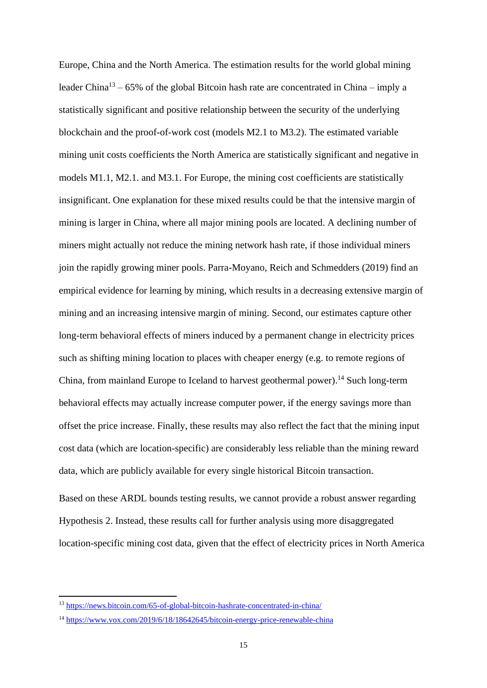Europe, China and the North America. The estimation results for the world global mining leader China<sup>13</sup> – 65% of the global Bitcoin hash rate are concentrated in China – imply a statistically significant and positive relationship between the security of the underlying blockchain and the proof-of-work cost (models M2.1 to M3.2). The estimated variable mining unit costs coefficients the North America are statistically significant and negative in models M1.1, M2.1. and M3.1. For Europe, the mining cost coefficients are statistically insignificant. One explanation for these mixed results could be that the intensive margin of mining is larger in China, where all major mining pools are located. A declining number of miners might actually not reduce the mining network hash rate, if those individual miners join the rapidly growing miner pools. Parra-Moyano, Reich and Schmedders (2019) find an empirical evidence for learning by mining, which results in a decreasing extensive margin of mining and an increasing intensive margin of mining. Second, our estimates capture other long-term behavioral effects of miners induced by a permanent change in electricity prices such as shifting mining location to places with cheaper energy (e.g. to remote regions of China, from mainland Europe to Iceland to harvest geothermal power).<sup>14</sup> Such long-term behavioral effects may actually increase computer power, if the energy savings more than offset the price increase. Finally, these results may also reflect the fact that the mining input cost data (which are location-specific) are considerably less reliable than the mining reward data, which are publicly available for every single historical Bitcoin transaction.

Based on these ARDL bounds testing results, we cannot provide a robust answer regarding Hypothesis 2. Instead, these results call for further analysis using more disaggregated location-specific mining cost data, given that the effect of electricity prices in North America

<sup>13</sup> <https://news.bitcoin.com/65-of-global-bitcoin-hashrate-concentrated-in-china/>

<sup>14</sup> <https://www.vox.com/2019/6/18/18642645/bitcoin-energy-price-renewable-china>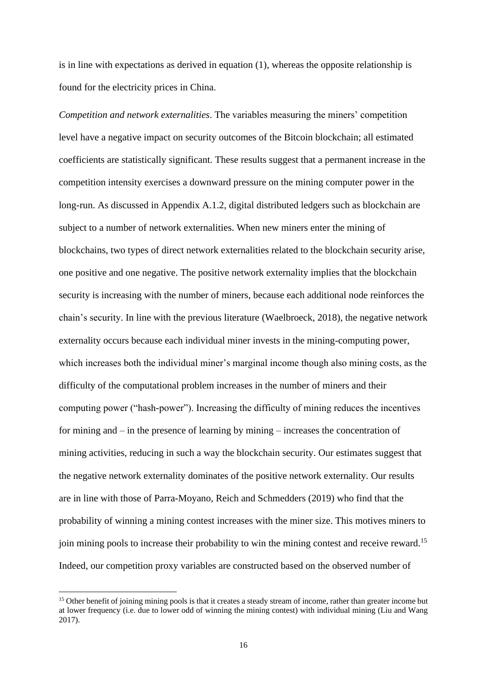is in line with expectations as derived in equation [\(1\),](#page-5-0) whereas the opposite relationship is found for the electricity prices in China.

*Competition and network externalities*. The variables measuring the miners' competition level have a negative impact on security outcomes of the Bitcoin blockchain; all estimated coefficients are statistically significant. These results suggest that a permanent increase in the competition intensity exercises a downward pressure on the mining computer power in the long-run. As discussed in Appendix A.1.2, digital distributed ledgers such as blockchain are subject to a number of network externalities. When new miners enter the mining of blockchains, two types of direct network externalities related to the blockchain security arise, one positive and one negative. The positive network externality implies that the blockchain security is increasing with the number of miners, because each additional node reinforces the chain's security. In line with the previous literature (Waelbroeck, 2018), the negative network externality occurs because each individual miner invests in the mining-computing power, which increases both the individual miner's marginal income though also mining costs, as the difficulty of the computational problem increases in the number of miners and their computing power ("hash-power"). Increasing the difficulty of mining reduces the incentives for mining and – in the presence of learning by mining – increases the concentration of mining activities, reducing in such a way the blockchain security. Our estimates suggest that the negative network externality dominates of the positive network externality. Our results are in line with those of Parra-Moyano, Reich and Schmedders (2019) who find that the probability of winning a mining contest increases with the miner size. This motives miners to join mining pools to increase their probability to win the mining contest and receive reward.<sup>15</sup> Indeed, our competition proxy variables are constructed based on the observed number of

<sup>&</sup>lt;sup>15</sup> Other benefit of joining mining pools is that it creates a steady stream of income, rather than greater income but at lower frequency (i.e. due to lower odd of winning the mining contest) with individual mining (Liu and Wang 2017).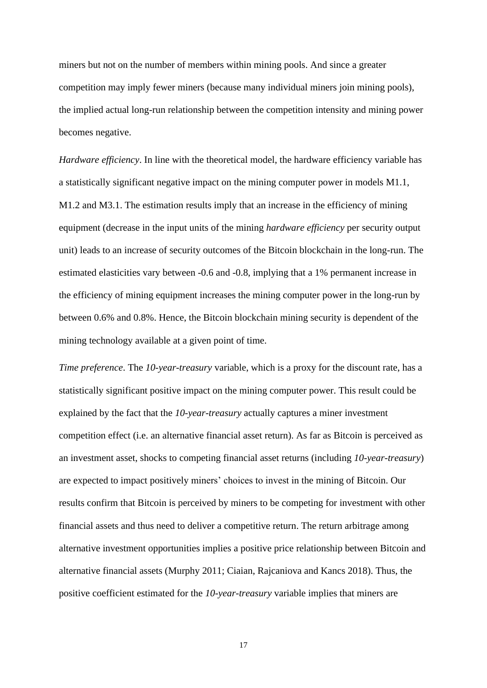miners but not on the number of members within mining pools. And since a greater competition may imply fewer miners (because many individual miners join mining pools), the implied actual long-run relationship between the competition intensity and mining power becomes negative.

*Hardware efficiency*. In line with the theoretical model, the hardware efficiency variable has a statistically significant negative impact on the mining computer power in models M1.1, M1.2 and M3.1. The estimation results imply that an increase in the efficiency of mining equipment (decrease in the input units of the mining *hardware efficiency* per security output unit) leads to an increase of security outcomes of the Bitcoin blockchain in the long-run. The estimated elasticities vary between -0.6 and -0.8, implying that a 1% permanent increase in the efficiency of mining equipment increases the mining computer power in the long-run by between 0.6% and 0.8%. Hence, the Bitcoin blockchain mining security is dependent of the mining technology available at a given point of time.

*Time preference*. The *10-year-treasury* variable, which is a proxy for the discount rate, has a statistically significant positive impact on the mining computer power. This result could be explained by the fact that the *10-year-treasury* actually captures a miner investment competition effect (i.e. an alternative financial asset return). As far as Bitcoin is perceived as an investment asset, shocks to competing financial asset returns (including *10-year-treasury*) are expected to impact positively miners' choices to invest in the mining of Bitcoin. Our results confirm that Bitcoin is perceived by miners to be competing for investment with other financial assets and thus need to deliver a competitive return. The return arbitrage among alternative investment opportunities implies a positive price relationship between Bitcoin and alternative financial assets (Murphy 2011; Ciaian, Rajcaniova and Kancs 2018). Thus, the positive coefficient estimated for the *10-year-treasury* variable implies that miners are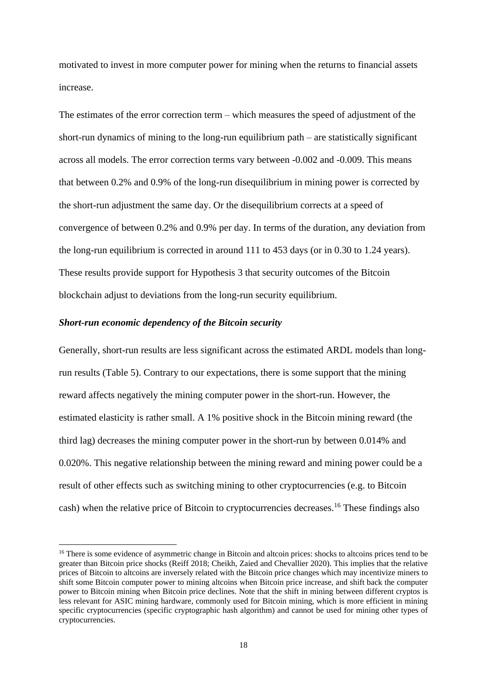motivated to invest in more computer power for mining when the returns to financial assets increase.

The estimates of the error correction term – which measures the speed of adjustment of the short-run dynamics of mining to the long-run equilibrium path – are statistically significant across all models. The error correction terms vary between -0.002 and -0.009. This means that between 0.2% and 0.9% of the long-run disequilibrium in mining power is corrected by the short-run adjustment the same day. Or the disequilibrium corrects at a speed of convergence of between 0.2% and 0.9% per day. In terms of the duration, any deviation from the long-run equilibrium is corrected in around 111 to 453 days (or in 0.30 to 1.24 years). These results provide support for Hypothesis 3 that security outcomes of the Bitcoin blockchain adjust to deviations from the long-run security equilibrium.

### *Short-run economic dependency of the Bitcoin security*

Generally, short-run results are less significant across the estimated ARDL models than longrun results [\(Table 5\)](#page-28-0). Contrary to our expectations, there is some support that the mining reward affects negatively the mining computer power in the short-run. However, the estimated elasticity is rather small. A 1% positive shock in the Bitcoin mining reward (the third lag) decreases the mining computer power in the short-run by between 0.014% and 0.020%. This negative relationship between the mining reward and mining power could be a result of other effects such as switching mining to other cryptocurrencies (e.g. to Bitcoin cash) when the relative price of Bitcoin to cryptocurrencies decreases.<sup>16</sup> These findings also

<sup>&</sup>lt;sup>16</sup> There is some evidence of asymmetric change in Bitcoin and altcoin prices: shocks to altcoins prices tend to be greater than Bitcoin price shocks (Reiff 2018; Cheikh, Zaied and Chevallier 2020). This implies that the relative prices of Bitcoin to altcoins are inversely related with the Bitcoin price changes which may incentivize miners to shift some Bitcoin computer power to mining altcoins when Bitcoin price increase, and shift back the computer power to Bitcoin mining when Bitcoin price declines. Note that the shift in mining between different cryptos is less relevant for ASIC mining hardware, commonly used for Bitcoin mining, which is more efficient in mining specific cryptocurrencies (specific cryptographic hash algorithm) and cannot be used for mining other types of cryptocurrencies.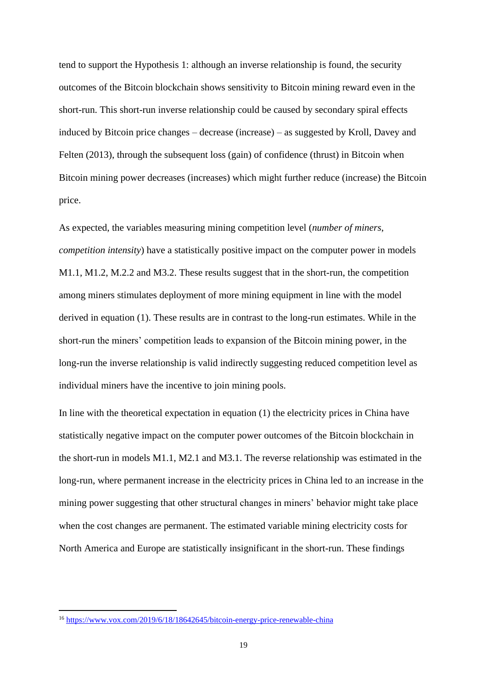tend to support the Hypothesis 1: although an inverse relationship is found, the security outcomes of the Bitcoin blockchain shows sensitivity to Bitcoin mining reward even in the short-run. This short-run inverse relationship could be caused by secondary spiral effects induced by Bitcoin price changes – decrease (increase) – as suggested by Kroll, Davey and Felten (2013), through the subsequent loss (gain) of confidence (thrust) in Bitcoin when Bitcoin mining power decreases (increases) which might further reduce (increase) the Bitcoin price.

As expected, the variables measuring mining competition level (*number of miners*, *competition intensity*) have a statistically positive impact on the computer power in models M1.1, M1.2, M.2.2 and M3.2. These results suggest that in the short-run, the competition among miners stimulates deployment of more mining equipment in line with the model derived in equation [\(1\).](#page-5-0) These results are in contrast to the long-run estimates. While in the short-run the miners' competition leads to expansion of the Bitcoin mining power, in the long-run the inverse relationship is valid indirectly suggesting reduced competition level as individual miners have the incentive to join mining pools.

In line with the theoretical expectation in equation [\(1\)](#page-5-0) the electricity prices in China have statistically negative impact on the computer power outcomes of the Bitcoin blockchain in the short-run in models M1.1, M2.1 and M3.1. The reverse relationship was estimated in the long-run, where permanent increase in the electricity prices in China led to an increase in the mining power suggesting that other structural changes in miners' behavior might take place when the cost changes are permanent. The estimated variable mining electricity costs for North America and Europe are statistically insignificant in the short-run. These findings

<sup>16</sup> <https://www.vox.com/2019/6/18/18642645/bitcoin-energy-price-renewable-china>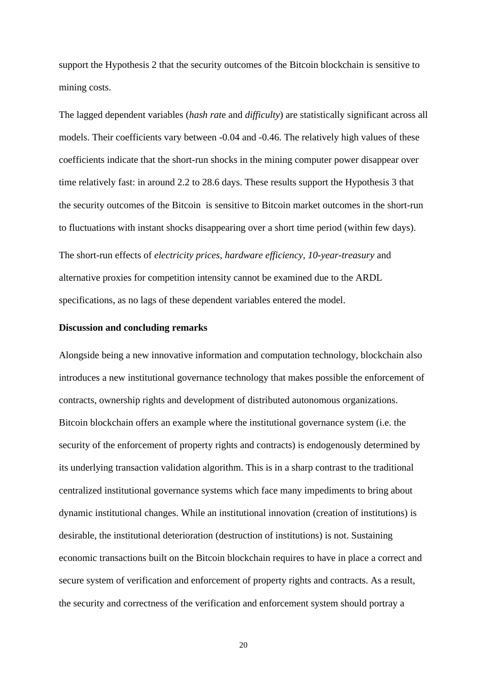support the Hypothesis 2 that the security outcomes of the Bitcoin blockchain is sensitive to mining costs.

The lagged dependent variables (*hash rat*e and *difficulty*) are statistically significant across all models. Their coefficients vary between -0.04 and -0.46. The relatively high values of these coefficients indicate that the short-run shocks in the mining computer power disappear over time relatively fast: in around 2.2 to 28.6 days. These results support the Hypothesis 3 that the security outcomes of the Bitcoin is sensitive to Bitcoin market outcomes in the short-run to fluctuations with instant shocks disappearing over a short time period (within few days).

The short-run effects of *electricity prices*, *hardware efficiency*, *10-year-treasury* and alternative proxies for competition intensity cannot be examined due to the ARDL specifications, as no lags of these dependent variables entered the model.

#### **Discussion and concluding remarks**

Alongside being a new innovative information and computation technology, blockchain also introduces a new institutional governance technology that makes possible the enforcement of contracts, ownership rights and development of distributed autonomous organizations. Bitcoin blockchain offers an example where the institutional governance system (i.e. the security of the enforcement of property rights and contracts) is endogenously determined by its underlying transaction validation algorithm. This is in a sharp contrast to the traditional centralized institutional governance systems which face many impediments to bring about dynamic institutional changes. While an institutional innovation (creation of institutions) is desirable, the institutional deterioration (destruction of institutions) is not. Sustaining economic transactions built on the Bitcoin blockchain requires to have in place a correct and secure system of verification and enforcement of property rights and contracts. As a result, the security and correctness of the verification and enforcement system should portray a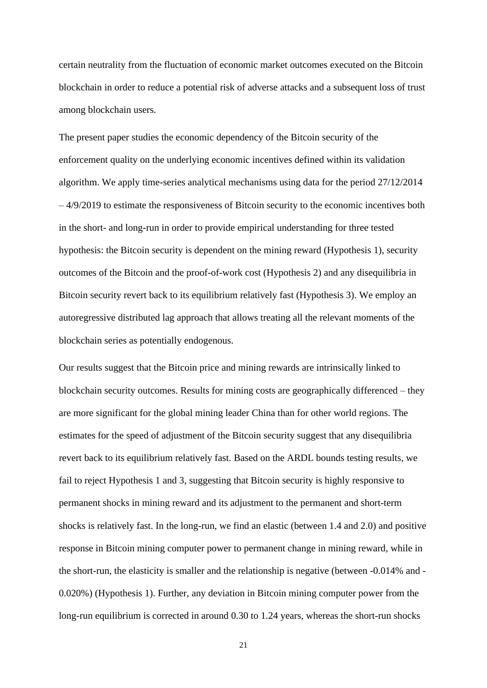certain neutrality from the fluctuation of economic market outcomes executed on the Bitcoin blockchain in order to reduce a potential risk of adverse attacks and a subsequent loss of trust among blockchain users.

The present paper studies the economic dependency of the Bitcoin security of the enforcement quality on the underlying economic incentives defined within its validation algorithm. We apply time-series analytical mechanisms using data for the period 27/12/2014 – 4/9/2019 to estimate the responsiveness of Bitcoin security to the economic incentives both in the short- and long-run in order to provide empirical understanding for three tested hypothesis: the Bitcoin security is dependent on the mining reward (Hypothesis 1), security outcomes of the Bitcoin and the proof-of-work cost (Hypothesis 2) and any disequilibria in Bitcoin security revert back to its equilibrium relatively fast (Hypothesis 3). We employ an autoregressive distributed lag approach that allows treating all the relevant moments of the blockchain series as potentially endogenous.

Our results suggest that the Bitcoin price and mining rewards are intrinsically linked to blockchain security outcomes. Results for mining costs are geographically differenced – they are more significant for the global mining leader China than for other world regions. The estimates for the speed of adjustment of the Bitcoin security suggest that any disequilibria revert back to its equilibrium relatively fast. Based on the ARDL bounds testing results, we fail to reject Hypothesis 1 and 3, suggesting that Bitcoin security is highly responsive to permanent shocks in mining reward and its adjustment to the permanent and short-term shocks is relatively fast. In the long-run, we find an elastic (between 1.4 and 2.0) and positive response in Bitcoin mining computer power to permanent change in mining reward, while in the short-run, the elasticity is smaller and the relationship is negative (between -0.014% and - 0.020%) (Hypothesis 1). Further, any deviation in Bitcoin mining computer power from the long-run equilibrium is corrected in around 0.30 to 1.24 years, whereas the short-run shocks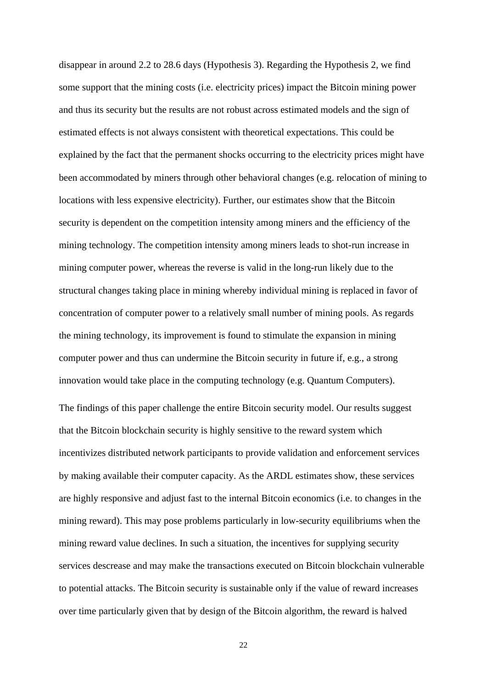disappear in around 2.2 to 28.6 days (Hypothesis 3). Regarding the Hypothesis 2, we find some support that the mining costs (i.e. electricity prices) impact the Bitcoin mining power and thus its security but the results are not robust across estimated models and the sign of estimated effects is not always consistent with theoretical expectations. This could be explained by the fact that the permanent shocks occurring to the electricity prices might have been accommodated by miners through other behavioral changes (e.g. relocation of mining to locations with less expensive electricity). Further, our estimates show that the Bitcoin security is dependent on the competition intensity among miners and the efficiency of the mining technology. The competition intensity among miners leads to shot-run increase in mining computer power, whereas the reverse is valid in the long-run likely due to the structural changes taking place in mining whereby individual mining is replaced in favor of concentration of computer power to a relatively small number of mining pools. As regards the mining technology, its improvement is found to stimulate the expansion in mining computer power and thus can undermine the Bitcoin security in future if, e.g., a strong innovation would take place in the computing technology (e.g. Quantum Computers). The findings of this paper challenge the entire Bitcoin security model. Our results suggest that the Bitcoin blockchain security is highly sensitive to the reward system which incentivizes distributed network participants to provide validation and enforcement services by making available their computer capacity. As the ARDL estimates show, these services are highly responsive and adjust fast to the internal Bitcoin economics (i.e. to changes in the mining reward). This may pose problems particularly in low-security equilibriums when the mining reward value declines. In such a situation, the incentives for supplying security services descrease and may make the transactions executed on Bitcoin blockchain vulnerable

over time particularly given that by design of the Bitcoin algorithm, the reward is halved

to potential attacks. The Bitcoin security is sustainable only if the value of reward increases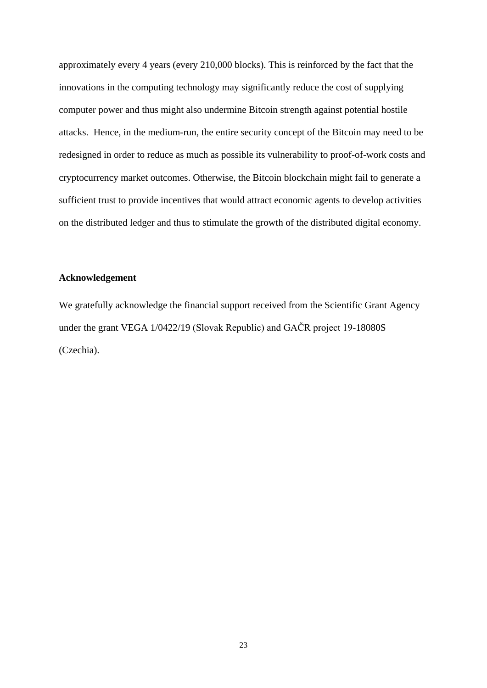approximately every 4 years (every 210,000 blocks). This is reinforced by the fact that the innovations in the computing technology may significantly reduce the cost of supplying computer power and thus might also undermine Bitcoin strength against potential hostile attacks. Hence, in the medium-run, the entire security concept of the Bitcoin may need to be redesigned in order to reduce as much as possible its vulnerability to proof-of-work costs and cryptocurrency market outcomes. Otherwise, the Bitcoin blockchain might fail to generate a sufficient trust to provide incentives that would attract economic agents to develop activities on the distributed ledger and thus to stimulate the growth of the distributed digital economy.

### **Acknowledgement**

We gratefully acknowledge the financial support received from the Scientific Grant Agency under the grant VEGA 1/0422/19 (Slovak Republic) and GAČR project 19-18080S (Czechia).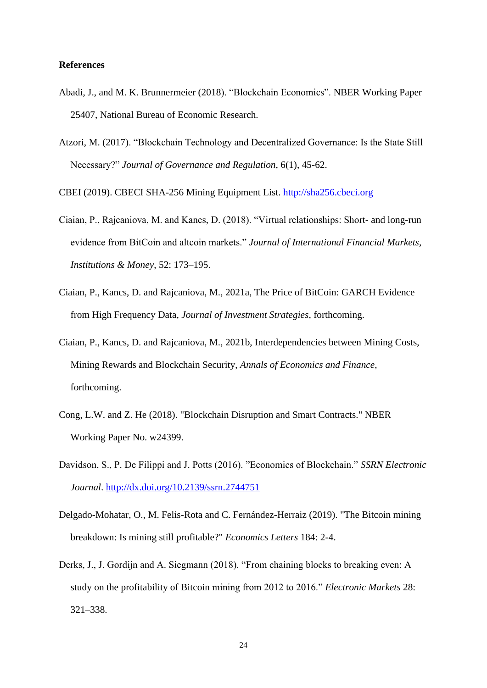### **References**

- Abadi, J., and M. K. Brunnermeier (2018). "Blockchain Economics". NBER Working Paper 25407, National Bureau of Economic Research.
- Atzori, M. (2017). "Blockchain Technology and Decentralized Governance: Is the State Still Necessary?" *Journal of Governance and Regulation*, 6(1), 45-62.

CBEI (2019). CBECI SHA-256 Mining Equipment List. [http://sha256.cbeci.org](http://sha256.cbeci.org/)

- Ciaian, P., Rajcaniova, M. and Kancs, D. (2018). "Virtual relationships: Short- and long-run evidence from BitCoin and altcoin markets." *Journal of International Financial Markets, Institutions & Money*, 52: 173–195.
- Ciaian, P., Kancs, D. and Rajcaniova, M., 2021a, The Price of BitCoin: GARCH Evidence from High Frequency Data, *Journal of Investment Strategies*, forthcoming.
- Ciaian, P., Kancs, D. and Rajcaniova, M., 2021b, Interdependencies between Mining Costs, Mining Rewards and Blockchain Security, *Annals of Economics and Finance*, forthcoming.
- Cong, L.W. and Z. He (2018). "Blockchain Disruption and Smart Contracts." NBER Working Paper No. w24399.
- Davidson, S., P. De Filippi and J. Potts (2016). "Economics of Blockchain." *SSRN Electronic Journal*. <http://dx.doi.org/10.2139/ssrn.2744751>
- Delgado-Mohatar, O., M. Felis-Rota and C. Fernández-Herraiz (2019). "The Bitcoin mining breakdown: Is mining still profitable?" *Economics Letters* 184: 2-4.
- Derks, J., J. Gordijn and A. Siegmann (2018). "From chaining blocks to breaking even: A study on the profitability of Bitcoin mining from 2012 to 2016." *Electronic Markets* 28: 321–338.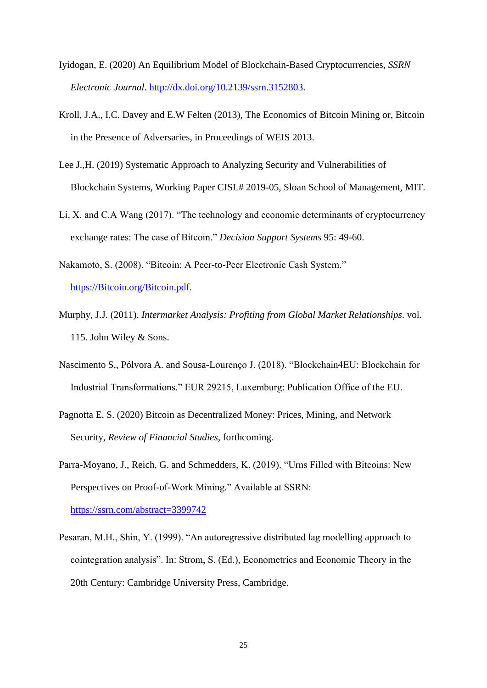- Iyidogan, E. (2020) An Equilibrium Model of Blockchain-Based Cryptocurrencies, *SSRN Electronic Journal*. [http://dx.doi.org/10.2139/ssrn.3152803.](http://dx.doi.org/10.2139/ssrn.3152803)
- Kroll, J.A., I.C. Davey and E.W Felten (2013), The Economics of Bitcoin Mining or, Bitcoin in the Presence of Adversaries, in Proceedings of WEIS 2013.
- Lee J.,H. (2019) Systematic Approach to Analyzing Security and Vulnerabilities of Blockchain Systems, Working Paper CISL# 2019-05, Sloan School of Management, MIT.
- Li, X. and C.A Wang (2017). "The technology and economic determinants of cryptocurrency exchange rates: The case of Bitcoin." *Decision Support Systems* 95: 49-60.
- Nakamoto, S. (2008). "Bitcoin: A Peer-to-Peer Electronic Cash System." [https://Bitcoin.org/Bitcoin.pdf.](https://bitcoin.org/bitcoin.pdf)
- Murphy, J.J. (2011). *Intermarket Analysis: Profiting from Global Market Relationships*. vol. 115. John Wiley & Sons.
- Nascimento S., Pólvora A. and Sousa-Lourenço J. (2018). "Blockchain4EU: Blockchain for Industrial Transformations." EUR 29215, Luxemburg: Publication Office of the EU.
- Pagnotta E. S. (2020) Bitcoin as Decentralized Money: Prices, Mining, and Network Security, *Review of Financial Studies*, forthcoming.
- Parra-Moyano, J., Reich, G. and Schmedders, K. (2019). "Urns Filled with Bitcoins: New Perspectives on Proof-of-Work Mining." Available at SSRN: <https://ssrn.com/abstract=3399742>
- Pesaran, M.H., Shin, Y. (1999). "An autoregressive distributed lag modelling approach to cointegration analysis". In: Strom, S. (Ed.), Econometrics and Economic Theory in the 20th Century: Cambridge University Press, Cambridge.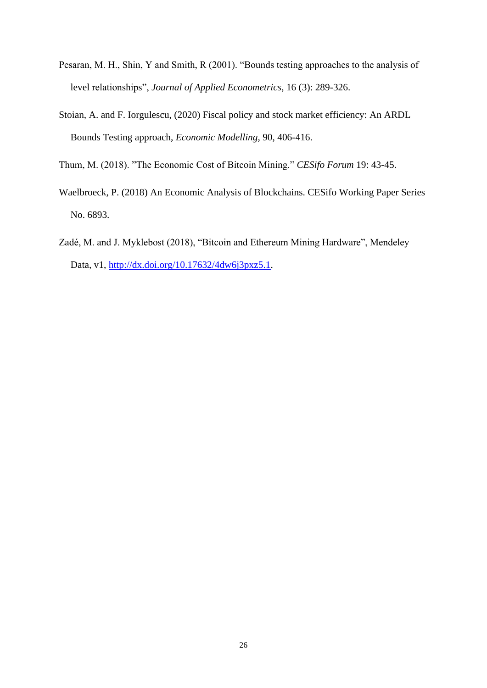- Pesaran, M. H., Shin, Y and Smith, R (2001). "Bounds testing approaches to the analysis of level relationships", *Journal of Applied Econometrics*, 16 (3): 289-326.
- Stoian, A. and F. Iorgulescu, (2020) Fiscal policy and stock market efficiency: An ARDL Bounds Testing approach, *Economic Modelling*, 90, 406-416.
- Thum, M. (2018). "The Economic Cost of Bitcoin Mining." *CESifo Forum* 19: 43-45.
- Waelbroeck, P. (2018) An Economic Analysis of Blockchains. CESifo Working Paper Series No. 6893.
- Zadé, M. and J. Myklebost (2018), "Bitcoin and Ethereum Mining Hardware", Mendeley Data, v1, [http://dx.doi.org/10.17632/4dw6j3pxz5.1.](http://dx.doi.org/10.17632/4dw6j3pxz5.1)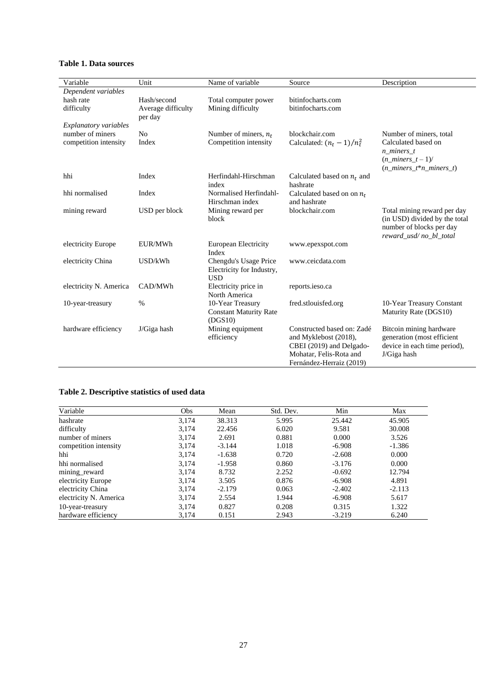<span id="page-26-0"></span>

|  |  | Table 1. Data sources |
|--|--|-----------------------|
|--|--|-----------------------|

| Variable               | Unit               | Name of variable              | Source                                       | Description                                   |
|------------------------|--------------------|-------------------------------|----------------------------------------------|-----------------------------------------------|
| Dependent variables    |                    |                               |                                              |                                               |
| hash rate              | Hash/second        | Total computer power          | bitinfocharts.com                            |                                               |
| difficulty             | Average difficulty | Mining difficulty             | bitinfocharts.com                            |                                               |
|                        | per day            |                               |                                              |                                               |
| Explanatory variables  |                    |                               |                                              |                                               |
| number of miners       | N <sub>o</sub>     | Number of miners, $n_t$       | blockchair.com                               | Number of miners, total                       |
| competition intensity  | Index              | Competition intensity         | Calculated: $(n_t - 1)/n_t^2$                | Calculated based on                           |
|                        |                    |                               |                                              | n_miners_t                                    |
|                        |                    |                               |                                              | $(n\_miners_t - 1)$                           |
|                        | Index              |                               |                                              | $(n \text{ minors } t^* n \text{ minors } t)$ |
| hhi                    |                    | Herfindahl-Hirschman<br>index | Calculated based on $n_t$ and<br>hashrate    |                                               |
| hhi normalised         | Index              | Normalised Herfindahl-        |                                              |                                               |
|                        |                    | Hirschman index               | Calculated based on on $n_t$<br>and hashrate |                                               |
| mining reward          | USD per block      | Mining reward per             | blockchair.com                               | Total mining reward per day                   |
|                        |                    | block                         |                                              | (in USD) divided by the total                 |
|                        |                    |                               |                                              | number of blocks per day                      |
|                        |                    |                               |                                              | reward_usd/no_bl_total                        |
| electricity Europe     | EUR/MWh            | European Electricity          | www.epexspot.com                             |                                               |
|                        |                    | Index                         |                                              |                                               |
| electricity China      | USD/kWh            | Chengdu's Usage Price         | www.ceicdata.com                             |                                               |
|                        |                    | Electricity for Industry,     |                                              |                                               |
|                        |                    | <b>USD</b>                    |                                              |                                               |
| electricity N. America | CAD/MWh            | Electricity price in          | reports.ieso.ca                              |                                               |
|                        |                    | North America                 |                                              |                                               |
| 10-year-treasury       | $\%$               | 10-Year Treasury              | fred.stlouisfed.org                          | 10-Year Treasury Constant                     |
|                        |                    | <b>Constant Maturity Rate</b> |                                              | Maturity Rate (DGS10)                         |
|                        |                    | (DGS10)                       |                                              |                                               |
| hardware efficiency    | J/Giga hash        | Mining equipment              | Constructed based on: Zadé                   | Bitcoin mining hardware                       |
|                        |                    | efficiency                    | and Myklebost (2018),                        | generation (most efficient                    |
|                        |                    |                               | CBEI (2019) and Delgado-                     | device in each time period),                  |
|                        |                    |                               | Mohatar, Felis-Rota and                      | J/Giga hash                                   |
|                        |                    |                               | Fernández-Herraiz (2019)                     |                                               |

# <span id="page-26-1"></span>**Table 2. Descriptive statistics of used data**

| Variable               | Obs   | Mean     | Std. Dev. | Min      | Max      |
|------------------------|-------|----------|-----------|----------|----------|
| hashrate               | 3,174 | 38.313   | 5.995     | 25.442   | 45.905   |
| difficulty             | 3.174 | 22.456   | 6.020     | 9.581    | 30.008   |
| number of miners       | 3.174 | 2.691    | 0.881     | 0.000    | 3.526    |
| competition intensity  | 3,174 | $-3.144$ | 1.018     | $-6.908$ | $-1.386$ |
| hhi                    | 3,174 | $-1.638$ | 0.720     | $-2.608$ | 0.000    |
| hhi normalised         | 3.174 | $-1.958$ | 0.860     | $-3.176$ | 0.000    |
| mining_reward          | 3.174 | 8.732    | 2.252     | $-0.692$ | 12.794   |
| electricity Europe     | 3,174 | 3.505    | 0.876     | $-6.908$ | 4.891    |
| electricity China      | 3.174 | $-2.179$ | 0.063     | $-2.402$ | $-2.113$ |
| electricity N. America | 3,174 | 2.554    | 1.944     | $-6.908$ | 5.617    |
| 10-year-treasury       | 3.174 | 0.827    | 0.208     | 0.315    | 1.322    |
| hardware efficiency    | 3,174 | 0.151    | 2.943     | $-3.219$ | 6.240    |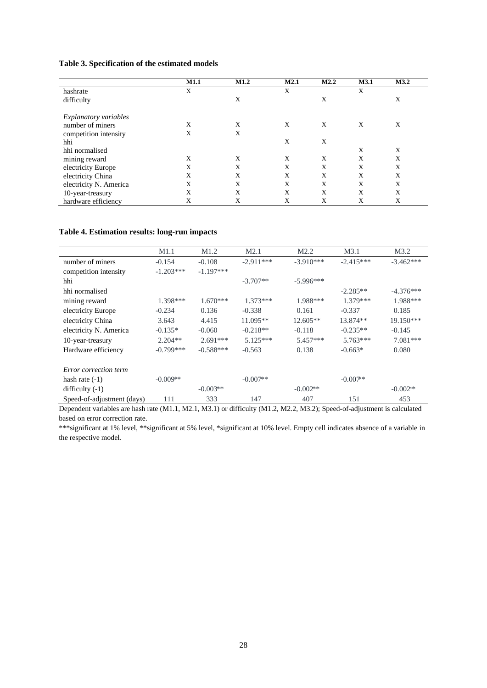#### <span id="page-27-0"></span>**Table 3. Specification of the estimated models**

|                              | <b>M1.1</b> | M1.2 | M2.1 | M2.2 | M3.1 | M3.2 |
|------------------------------|-------------|------|------|------|------|------|
| hashrate                     | X           |      | X    |      | X    |      |
| difficulty                   |             | X    |      | X    |      | X    |
| <b>Explanatory variables</b> |             |      |      |      |      |      |
| number of miners             | Χ           | X    | X    | X    | X    | X    |
| competition intensity        | X           | X    |      |      |      |      |
| hhi                          |             |      | X    | X    |      |      |
| hhi normalised               |             |      |      |      | X    | X    |
| mining reward                | X           | X    | X    | X    | X    | X    |
| electricity Europe           | X           | X    | X    | X    | X    | X    |
| electricity China            | X           | X    | X    | X    | X    | X    |
| electricity N. America       | X           | X    | X    | X    | X    | X    |
| 10-year-treasury             | X           | X    | X    | X    | X    | X    |
| hardware efficiency          | X           | X    | Χ    | X    | X    | X    |

#### <span id="page-27-1"></span>**Table 4. Estimation results: long-run impacts**

|                            | M1.1        | M <sub>1.2</sub> | M <sub>2.1</sub> | M <sub>2.2</sub> | M3.1        | M3.2        |
|----------------------------|-------------|------------------|------------------|------------------|-------------|-------------|
| number of miners           | $-0.154$    | $-0.108$         | $-2.911***$      | $-3.910***$      | $-2.415***$ | $-3.462***$ |
| competition intensity      | $-1.203***$ | $-1.197***$      |                  |                  |             |             |
| hhi                        |             |                  | $-3.707**$       | $-5.996***$      |             |             |
| hhi normalised             |             |                  |                  |                  | $-2.285**$  | $-4.376***$ |
| mining reward              | 1.398***    | $1.670***$       | $1.373***$       | 1.988***         | $1.379***$  | 1.988***    |
| electricity Europe         | $-0.234$    | 0.136            | $-0.338$         | 0.161            | $-0.337$    | 0.185       |
| electricity China          | 3.643       | 4.415            | $11.095**$       | 12.605**         | 13.874**    | 19.150***   |
| electricity N. America     | $-0.135*$   | $-0.060$         | $-0.218**$       | $-0.118$         | $-0.235**$  | $-0.145$    |
| 10-year-treasury           | $2.204**$   | $2.691***$       | $5.125***$       | 5.457***         | $5.763***$  | $7.081***$  |
| Hardware efficiency        | $-0.799***$ | $-0.588***$      | $-0.563$         | 0.138            | $-0.663*$   | 0.080       |
| Error correction term      |             |                  |                  |                  |             |             |
| hash rate $(-1)$           | $-0.009**$  |                  | $-0.007**$       |                  | $-0.007$ ** |             |
| difficulty $(-1)$          |             | $-0.003**$       |                  | $-0.002**$       |             | $-0.002$    |
| Speed-of-adjustment (days) | 111         | 333              | 147              | 407              | 151         | 453         |

Dependent variables are hash rate (M1.1, M2.1, M3.1) or difficulty (M1.2, M2.2, M3.2); Speed-of-adjustment is calculated based on error correction rate.

\*\*\*significant at 1% level, \*\*significant at 5% level, \*significant at 10% level. Empty cell indicates absence of a variable in the respective model.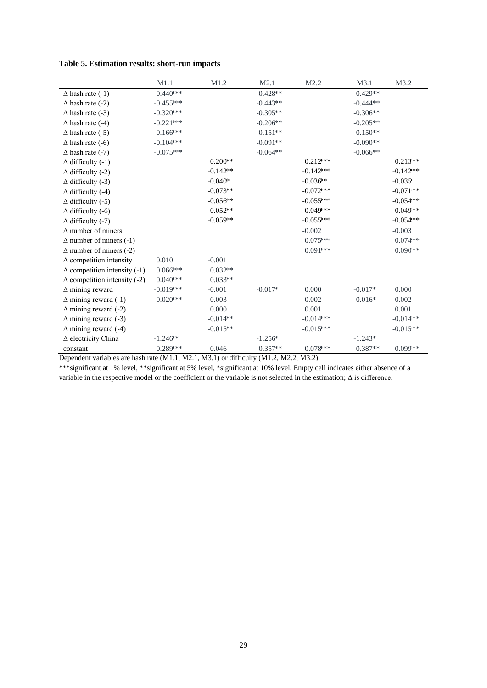<span id="page-28-0"></span>

| Table 5. Estimation results: short-run impacts |  |  |  |
|------------------------------------------------|--|--|--|
|------------------------------------------------|--|--|--|

|                                     | M1.1         | M1.2       | M2.1       | M2.2         | M3.1       | M3.2       |
|-------------------------------------|--------------|------------|------------|--------------|------------|------------|
| $\Delta$ hash rate (-1)             | $-0.440$ *** |            | $-0.428**$ |              | $-0.429**$ |            |
| $\Delta$ hash rate (-2)             | $-0.455***$  |            | $-0.443**$ |              | $-0.444**$ |            |
| $\Delta$ hash rate (-3)             | $-0.320$ *** |            | $-0.305**$ |              | $-0.306**$ |            |
| $\Delta$ hash rate (-4)             | $-0.221$ *** |            | $-0.206**$ |              | $-0.205**$ |            |
| $\Delta$ hash rate (-5)             | $-0.166$ *** |            | $-0.151**$ |              | $-0.150**$ |            |
| $\Delta$ hash rate (-6)             | $-0.104$ *** |            | $-0.091**$ |              | $-0.090**$ |            |
| $\Delta$ hash rate (-7)             | $-0.075***$  |            | $-0.064**$ |              | $-0.066**$ |            |
| $\Delta$ difficulty (-1)            |              | $0.200**$  |            | $0.212***$   |            | $0.213**$  |
| $\Delta$ difficulty (-2)            |              | $-0.142**$ |            | $-0.142$ *** |            | $-0.142**$ |
| $\Delta$ difficulty (-3)            |              | $-0.040*$  |            | $-0.036**$   |            | $-0.035$   |
| $\Delta$ difficulty (-4)            |              | $-0.073**$ |            | $-0.072$ *** |            | $-0.071**$ |
| $\Delta$ difficulty (-5)            |              | $-0.056**$ |            | $-0.055***$  |            | $-0.054**$ |
| $\Delta$ difficulty (-6)            |              | $-0.052**$ |            | $-0.049$ *** |            | $-0.049**$ |
| $\Delta$ difficulty (-7)            |              | $-0.059**$ |            | $-0.055***$  |            | $-0.054**$ |
| $\Delta$ number of miners           |              |            |            | $-0.002$     |            | $-0.003$   |
| $\Delta$ number of miners (-1)      |              |            |            | $0.075***$   |            | $0.074**$  |
| $\Delta$ number of miners (-2)      |              |            |            | $0.091***$   |            | $0.090**$  |
| $\Delta$ competition intensity      | 0.010        | $-0.001$   |            |              |            |            |
| $\Delta$ competition intensity (-1) | $0.066$ ***  | $0.032**$  |            |              |            |            |
| $\Delta$ competition intensity (-2) | $0.040$ ***  | $0.033**$  |            |              |            |            |
| $\Delta$ mining reward              | $-0.019$ *** | $-0.001$   | $-0.017*$  | 0.000        | $-0.017*$  | 0.000      |
| $\Delta$ mining reward (-1)         | $-0.020$ *** | $-0.003$   |            | $-0.002$     | $-0.016*$  | $-0.002$   |
| $\Delta$ mining reward (-2)         |              | 0.000      |            | 0.001        |            | 0.001      |
| $\Delta$ mining reward (-3)         |              | $-0.014**$ |            | $-0.014$ *** |            | $-0.014**$ |
| $\Delta$ mining reward (-4)         |              | $-0.015**$ |            | $-0.015***$  |            | $-0.015**$ |
| $\Delta$ electricity China          | $-1.246**$   |            | $-1.256*$  |              | $-1.243*$  |            |
| constant                            | $0.289***$   | 0.046      | $0.357**$  | $0.078***$   | $0.387**$  | $0.099**$  |

Dependent variables are hash rate (M1.1, M2.1, M3.1) or difficulty (M1.2, M2.2, M3.2);

\*\*\*significant at 1% level, \*\*significant at 5% level, \*significant at 10% level. Empty cell indicates either absence of a variable in the respective model or the coefficient or the variable is not selected in the estimation; Δ is difference.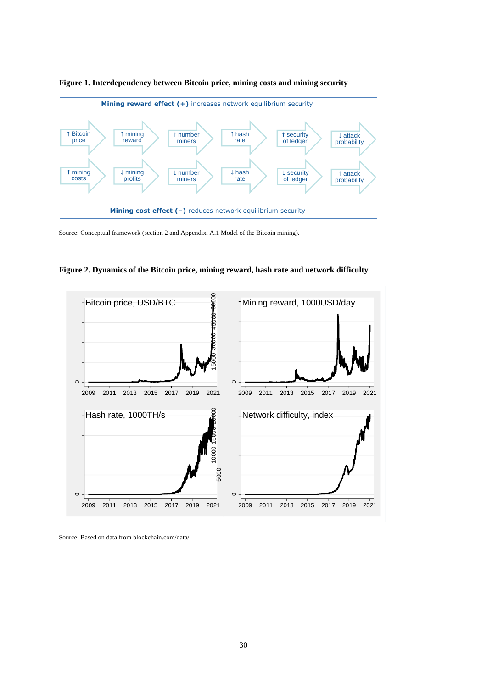

**Figure 1. Interdependency between Bitcoin price, mining costs and mining security** 

Source: Conceptual framework (section 2 and Appendix. A.1 Model of the Bitcoin mining).





Source: Based on data from blockchain.com/data/.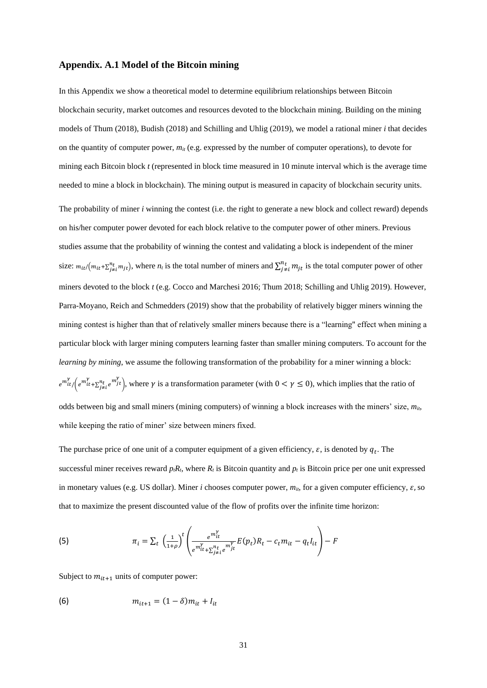#### **Appendix. A.1 Model of the Bitcoin mining**

In this Appendix we show a theoretical model to determine equilibrium relationships between Bitcoin blockchain security, market outcomes and resources devoted to the blockchain mining. Building on the mining models of Thum (2018), Budish (2018) and Schilling and Uhlig (2019), we model a rational miner *i* that decides on the quantity of computer power,  $m<sub>it</sub>$  (e.g. expressed by the number of computer operations), to devote for mining each Bitcoin block *t* (represented in block time measured in 10 minute interval which is the average time needed to mine a block in blockchain). The mining output is measured in capacity of blockchain security units. The probability of miner *i* winning the contest (i.e. the right to generate a new block and collect reward) depends on his/her computer power devoted for each block relative to the computer power of other miners. Previous studies assume that the probability of winning the contest and validating a block is independent of the miner size:  $m_{it}/(m_{it} + \sum_{j \neq i}^{n_t} m_{jt})$ , where  $n_t$  is the total number of miners and  $\sum_{j \neq i}^{n_t} m_{jt}$  is the total computer power of other miners devoted to the block *t* (e.g. Cocco and Marchesi 2016; Thum 2018; Schilling and Uhlig 2019). However, Parra-Moyano, Reich and Schmedders (2019) show that the probability of relatively bigger miners winning the mining contest is higher than that of relatively smaller miners because there is a "learning" effect when mining a particular block with larger mining computers learning faster than smaller mining computers. To account for the *learning by mining*, we assume the following transformation of the probability for a miner winning a block:  $e^{m_{it}^{\gamma}}(e^{m_{it}^{\gamma}+\sum_{j\neq i}^{n_{it}}e^{m_{jt}^{\gamma}})$ , where  $\gamma$  is a transformation parameter (with  $0<\gamma\leq 0$ ), which implies that the ratio of odds between big and small miners (mining computers) of winning a block increases with the miners' size, *mit*, while keeping the ratio of miner' size between miners fixed.

The purchase price of one unit of a computer equipment of a given efficiency,  $\varepsilon$ , is denoted by  $q_t$ . The successful miner receives reward  $p_tR_t$ , where  $R_t$  is Bitcoin quantity and  $p_t$  is Bitcoin price per one unit expressed in monetary values (e.g. US dollar). Miner *i* chooses computer power,  $m_{ii}$ , for a given computer efficiency,  $\varepsilon$ , so that to maximize the present discounted value of the flow of profits over the infinite time horizon:

(5) 
$$
\pi_i = \sum_t \left( \frac{1}{1+\rho} \right)^t \left( \frac{e^{m_{lt}^Y}}{e^{m_{lt}^Y} + \sum_{j \neq t}^{n_t} e^{m_{jt}^Y}} E(p_t) R_t - c_t m_{it} - q_t I_{it} \right) - F
$$

Subject to  $m_{it+1}$  units of computer power:

(6) 
$$
m_{it+1} = (1 - \delta)m_{it} + I_{it}
$$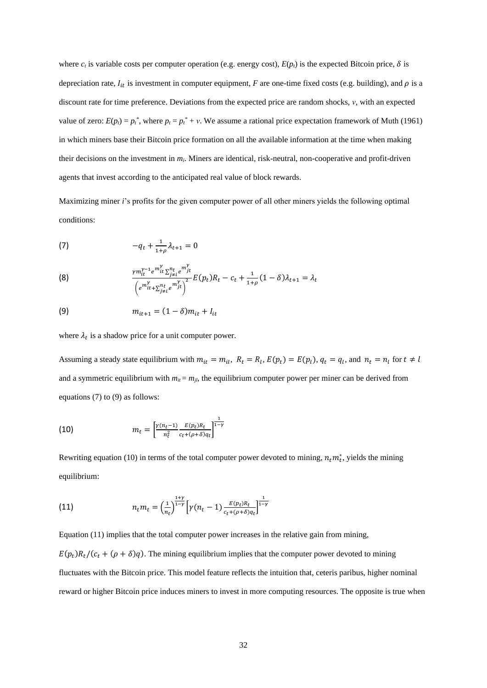where  $c_t$  is variable costs per computer operation (e.g. energy cost),  $E(p_t)$  is the expected Bitcoin price,  $\delta$  is depreciation rate,  $I_{it}$  is investment in computer equipment, *F* are one-time fixed costs (e.g. building), and  $\rho$  is a discount rate for time preference. Deviations from the expected price are random shocks, *ν*, with an expected value of zero:  $E(p_t) = p_t^*$ , where  $p_t = p_t^* + v$ . We assume a rational price expectation framework of Muth (1961) in which miners base their Bitcoin price formation on all the available information at the time when making their decisions on the investment in *mi*. Miners are identical, risk-neutral, non-cooperative and profit-driven agents that invest according to the anticipated real value of block rewards.

Maximizing miner *i*'s profits for the given computer power of all other miners yields the following optimal conditions:

<span id="page-31-0"></span>(7) 
$$
-q_t + \frac{1}{1+\rho} \lambda_{t+1} = 0
$$

(8) 
$$
\frac{\gamma m_{it}^{\gamma-1} e^{m_{it}^{\gamma}} \Sigma_{j \neq i}^{n_t} e^{m_{jt}^{\gamma}}}{\left(e^{m_{it}^{\gamma}} + \Sigma_{j \neq i}^{n_t} e^{m_{jt}^{\gamma}}\right)^2} E(p_t) R_t - c_t + \frac{1}{1+\rho} (1-\delta) \lambda_{t+1} = \lambda_t
$$

<span id="page-31-1"></span>(9) 
$$
m_{it+1} = (1 - \delta)m_{it} + I_{it}
$$

where  $\lambda_t$  is a shadow price for a unit computer power.

Assuming a steady state equilibrium with  $m_{it} = m_{it}$ ,  $R_t = R_l$ ,  $E(p_t) = E(p_l)$ ,  $q_t = q_l$ , and  $n_t = n_l$  for  $t \neq l$ and a symmetric equilibrium with  $m_{ii} = m_{ji}$ , the equilibrium computer power per miner can be derived from equations [\(7\)](#page-31-0) to [\(9\)](#page-31-1) as follows:

<span id="page-31-2"></span>(10) 
$$
m_t = \left[\frac{\gamma(n_t-1)}{n_t^2} \frac{E(p_t)R_t}{c_t + (\rho + \delta)q_t}\right]^{\frac{1}{1-\gamma}}
$$

Rewriting equation [\(10\)](#page-31-2) in terms of the total computer power devoted to mining,  $n_t m_t^*$ , yields the mining equilibrium:

<span id="page-31-3"></span>(11) 
$$
n_t m_t = \left(\frac{1}{n_t}\right)^{\frac{1+\gamma}{1-\gamma}} \left[\gamma(n_t-1) \frac{E(p_t)R_t}{c_t + (\rho + \delta)q_t}\right]^{\frac{1}{1-\gamma}}
$$

Equatio[n \(11\)](#page-31-3) implies that the total computer power increases in the relative gain from mining,  $E(p_t)R_t/(c_t+(\rho+\delta)q)$ . The mining equilibrium implies that the computer power devoted to mining fluctuates with the Bitcoin price. This model feature reflects the intuition that, ceteris paribus, higher nominal reward or higher Bitcoin price induces miners to invest in more computing resources. The opposite is true when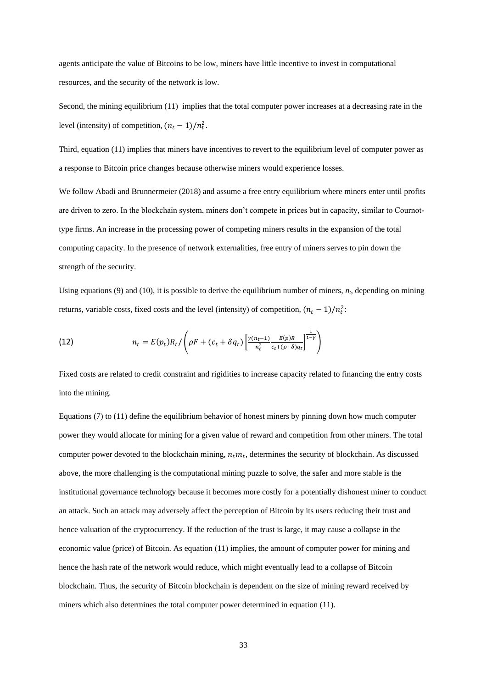agents anticipate the value of Bitcoins to be low, miners have little incentive to invest in computational resources, and the security of the network is low.

Second, the mining equilibrium [\(11\)](#page-31-3) implies that the total computer power increases at a decreasing rate in the level (intensity) of competition,  $(n_t - 1)/n_t^2$ .

Third, equation [\(11\)](#page-31-3) implies that miners have incentives to revert to the equilibrium level of computer power as a response to Bitcoin price changes because otherwise miners would experience losses.

We follow Abadi and Brunnermeier (2018) and assume a free entry equilibrium where miners enter until profits are driven to zero. In the blockchain system, miners don't compete in prices but in capacity, similar to Cournottype firms. An increase in the processing power of competing miners results in the expansion of the total computing capacity. In the presence of network externalities, free entry of miners serves to pin down the strength of the security.

Using equations [\(9\)](#page-31-1) and [\(10\),](#page-31-2) it is possible to derive the equilibrium number of miners, *nt*, depending on mining returns, variable costs, fixed costs and the level (intensity) of competition,  $(n_t - 1)/n_t^2$ :

(12) 
$$
n_t = E(p_t)R_t / \left(\rho F + (c_t + \delta q_t) \left[ \frac{\gamma (n_t - 1)}{n_t^2} \frac{E(p)R}{c_t + (\rho + \delta)q_t} \right]^{\frac{1}{1 - \gamma}} \right)
$$

Fixed costs are related to credit constraint and rigidities to increase capacity related to financing the entry costs into the mining.

Equation[s \(7\)](#page-31-0) to [\(11\)](#page-31-3) define the equilibrium behavior of honest miners by pinning down how much computer power they would allocate for mining for a given value of reward and competition from other miners. The total computer power devoted to the blockchain mining,  $n_t m_t$ , determines the security of blockchain. As discussed above, the more challenging is the computational mining puzzle to solve, the safer and more stable is the institutional governance technology because it becomes more costly for a potentially dishonest miner to conduct an attack. Such an attack may adversely affect the perception of Bitcoin by its users reducing their trust and hence valuation of the cryptocurrency. If the reduction of the trust is large, it may cause a collapse in the economic value (price) of Bitcoin. As equation [\(11\)](#page-31-3) implies, the amount of computer power for mining and hence the hash rate of the network would reduce, which might eventually lead to a collapse of Bitcoin blockchain. Thus, the security of Bitcoin blockchain is dependent on the size of mining reward received by miners which also determines the total computer power determined in equation [\(11\).](#page-31-3)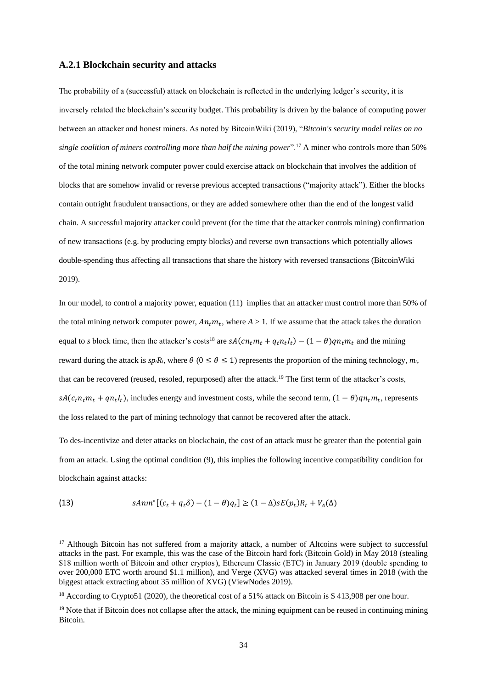#### **A.2.1 Blockchain security and attacks**

The probability of a (successful) attack on blockchain is reflected in the underlying ledger's security, it is inversely related the blockchain's security budget. This probability is driven by the balance of computing power between an attacker and honest miners. As noted by BitcoinWiki (2019), "*Bitcoin's security model relies on no single coalition of miners controlling more than half the mining power*".<sup>17</sup> A miner who controls more than 50% of the total mining network computer power could exercise attack on blockchain that involves the addition of blocks that are somehow invalid or reverse previous accepted transactions ("majority attack"). Either the blocks contain outright fraudulent transactions, or they are added somewhere other than the end of the longest valid chain. A successful majority attacker could prevent (for the time that the attacker controls mining) confirmation of new transactions (e.g. by producing empty blocks) and reverse own transactions which potentially allows double-spending thus affecting all transactions that share the history with reversed transactions (BitcoinWiki 2019).

In our model, to control a majority power, equation [\(11\)](#page-31-3) implies that an attacker must control more than 50% of the total mining network computer power,  $An_t m_t$ , where  $A > 1$ . If we assume that the attack takes the duration equal to *s* block time, then the attacker's costs<sup>18</sup> are  $sA(cn_t m_t + q_t n_t I_t) - (1 - \theta)qn_t m_t$  and the mining reward during the attack is  $sp_tR_t$ , where  $\theta$  ( $0 \le \theta \le 1$ ) represents the proportion of the mining technology,  $m_t$ , that can be recovered (reused, resoled, repurposed) after the attack.<sup>19</sup> The first term of the attacker's costs,  $sA(c_t n_t m_t + q n_t I_t)$ , includes energy and investment costs, while the second term,  $(1 - \theta) q n_t m_t$ , represents the loss related to the part of mining technology that cannot be recovered after the attack.

To des-incentivize and deter attacks on blockchain, the cost of an attack must be greater than the potential gain from an attack. Using the optimal condition [\(9\),](#page-31-1) this implies the following incentive compatibility condition for blockchain against attacks:

<span id="page-33-0"></span>(13) 
$$
sAnn^{*}[(c_{t} + q_{t}\delta) - (1 - \theta)q_{t}] \geq (1 - \Delta)sE(p_{t})R_{t} + V_{A}(\Delta)
$$

<sup>&</sup>lt;sup>17</sup> Although Bitcoin has not suffered from a majority attack, a number of Altcoins were subject to successful attacks in the past. For example, this was the case of the Bitcoin hard fork (Bitcoin Gold) in May 2018 (stealing \$18 million worth of Bitcoin and other cryptos ), Ethereum Classic (ETC) in January 2019 (double spending to over 200,000 ETC worth around \$1.1 million), and Verge (XVG) was attacked several times in 2018 (with the biggest attack extracting about 35 million of XVG) (ViewNodes 2019).

<sup>&</sup>lt;sup>18</sup> According to Crypto51 (2020), the theoretical cost of a 51% attack on Bitcoin is \$ 413,908 per one hour.

<sup>&</sup>lt;sup>19</sup> Note that if Bitcoin does not collapse after the attack, the mining equipment can be reused in continuing mining Bitcoin.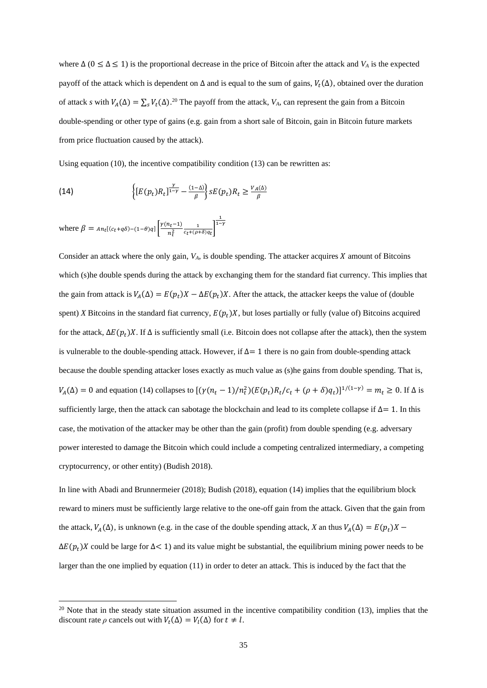where  $\Delta$  ( $0 \leq \Delta \leq 1$ ) is the proportional decrease in the price of Bitcoin after the attack and *V<sub>A</sub>* is the expected payoff of the attack which is dependent on  $\Delta$  and is equal to the sum of gains,  $V_t(\Delta)$ , obtained over the duration of attack *s* with  $V_A(\Delta) = \sum_s V_t(\Delta)$ .<sup>20</sup> The payoff from the attack,  $V_A$ , can represent the gain from a Bitcoin double-spending or other type of gains (e.g. gain from a short sale of Bitcoin, gain in Bitcoin future markets from price fluctuation caused by the attack).

Using equation [\(10\),](#page-31-2) the incentive compatibility condition [\(13\)](#page-33-0) can be rewritten as:

<span id="page-34-0"></span>(14) 
$$
\left\{ [E(p_t)R_t]^{\frac{\gamma}{1-\gamma}} - \frac{(1-\Delta)}{\beta} \right\} sE(p_t)R_t \geq \frac{V_A(\Delta)}{\beta}
$$

where  $\beta = An_t[(c_t + q\delta) - (1-\theta)q] \frac{\gamma(n_t-1)}{n^2}$  $\frac{n_t-1}{n_t^2} \frac{1}{c_t+(\rho+\delta)q_t}$  $\frac{1}{1-\gamma}$ 

Consider an attack where the only gain,  $V_A$ , is double spending. The attacker acquires  $X$  amount of Bitcoins which (s)he double spends during the attack by exchanging them for the standard fiat currency. This implies that the gain from attack is  $V_A(\Delta) = E(p_t)X - \Delta E(p_t)X$ . After the attack, the attacker keeps the value of (double spent) *X* Bitcoins in the standard fiat currency,  $E(p_t)X$ , but loses partially or fully (value of) Bitcoins acquired for the attack,  $\Delta E(p_t)X$ . If  $\Delta$  is sufficiently small (i.e. Bitcoin does not collapse after the attack), then the system is vulnerable to the double-spending attack. However, if  $\Delta = 1$  there is no gain from double-spending attack because the double spending attacker loses exactly as much value as (s)he gains from double spending. That is,  $V_A(\Delta) = 0$  and equation [\(14\)](#page-34-0) collapses to  $[(\gamma(n_t - 1)/n_t^2)(E(p_t)R_t/c_t + (\rho + \delta)q_t)]^{1/(1-\gamma)} = m_t \ge 0$ . If  $\Delta$  is sufficiently large, then the attack can sabotage the blockchain and lead to its complete collapse if  $\Delta = 1$ . In this case, the motivation of the attacker may be other than the gain (profit) from double spending (e.g. adversary power interested to damage the Bitcoin which could include a competing centralized intermediary, a competing cryptocurrency, or other entity) (Budish 2018).

In line with Abadi and Brunnermeier (2018); Budish (2018), equation [\(14\)](#page-34-0) implies that the equilibrium block reward to miners must be sufficiently large relative to the one-off gain from the attack. Given that the gain from the attack,  $V_A(\Delta)$ , is unknown (e.g. in the case of the double spending attack, *X* an thus  $V_A(\Delta) = E(p_t)X$  $\Delta E(p_t)X$  could be large for  $\Delta$ < 1) and its value might be substantial, the equilibrium mining power needs to be larger than the one implied by equatio[n \(11\)](#page-31-3) in order to deter an attack. This is induced by the fact that the

 $20$  Note that in the steady state situation assumed in the incentive compatibility condition [\(13\),](#page-33-0) implies that the discount rate  $\rho$  cancels out with  $V_t(\Delta) = V_l(\Delta)$  for  $t \neq l$ .